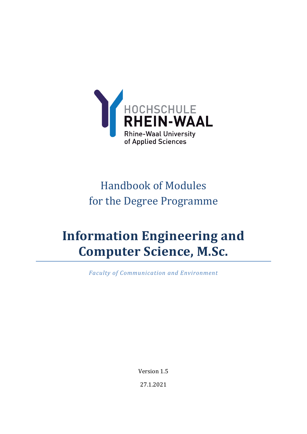

# Handbook of Modules for the Degree Programme

# **Information Engineering and Computer Science, M.Sc.**

*Faculty of Communication and Environment*

Version 1.5 27.1.2021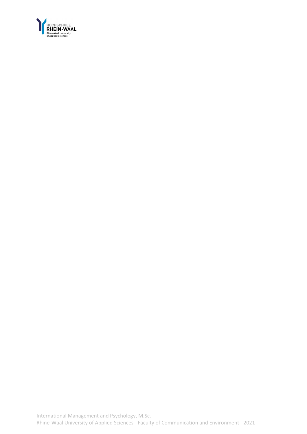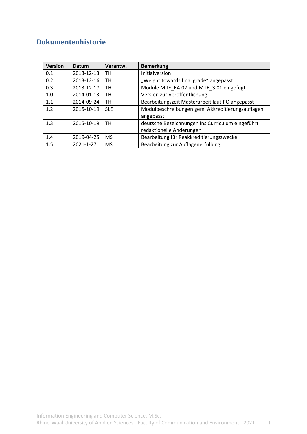# **Dokumentenhistorie**

| <b>Version</b> | Datum      | Verantw.   | <b>Bemerkung</b>                                 |
|----------------|------------|------------|--------------------------------------------------|
| 0.1            | 2013-12-13 | тн         | Initialversion                                   |
| 0.2            | 2013-12-16 | тн         | "Weight towards final grade" angepasst           |
| 0.3            | 2013-12-17 | тн         | Module M-IE EA.02 und M-IE 3.01 eingefügt        |
| 1.0            | 2014-01-13 | тн         | Version zur Veröffentlichung                     |
| 1.1            | 2014-09-24 | тн         | Bearbeitungszeit Masterarbeit laut PO angepasst  |
| 1.2            | 2015-10-19 | <b>SLE</b> | Modulbeschreibungen gem. Akkreditierungsauflagen |
|                |            |            | angepasst                                        |
| 1.3            | 2015-10-19 | TН         | deutsche Bezeichnungen ins Curriculum eingeführt |
|                |            |            | redaktionelle Änderungen                         |
| 1.4            | 2019-04-25 | <b>MS</b>  | Bearbeitung für Reakkreditierungszwecke          |
| 1.5            | 2021-1-27  | <b>MS</b>  | Bearbeitung zur Auflagenerfüllung                |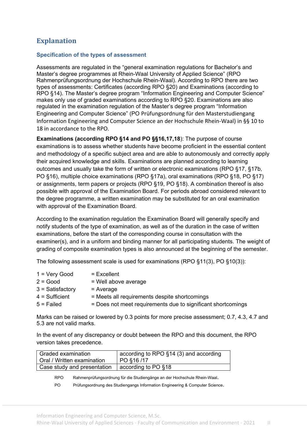# **Explanation**

# **Specification of the types of assessment**

Assessments are regulated in the "general examination regulations for Bachelor's and Master's degree programmes at Rhein-Waal University of Applied Science" (RPO Rahmenprüfungsordnung der Hochschule Rhein-Waal). According to RPO there are two types of assessments: Certificates (according RPO §20) and Examinations (according to RPO §14). The Master's degree program "Information Engineering and Computer Science" makes only use of graded examinations according to RPO §20. Examinations are also regulated in the examination regulation of the Master's degree program "Information Engineering and Computer Science" (PO Prüfungsordnung für den Masterstudiengang Information Engineering and Computer Science an der Hochschule Rhein‐Waal) in §§ 10 to 18 in accordance to the RPO.

**Examinations (according RPO §14 and PO §§16,17,18**): The purpose of course examinations is to assess whether students have become proficient in the essential content and methodology of a specific subject area and are able to autonomously and correctly apply their acquired knowledge and skills. Examinations are planned according to learning outcomes and usually take the form of written or electronic examinations (RPO §17, §17b, PO §16), multiple choice examinations (RPO §17a), oral examinations (RPO §18, PO §17) or assignments, term papers or projects (RPO §19, PO §18). A combination thereof is also possible with approval of the Examination Board. For periods abroad considered relevant to the degree programme, a written examination may be substituted for an oral examination with approval of the Examination Board.

According to the examination regulation the Examination Board will generally specify and notify students of the type of examination, as well as of the duration in the case of written examinations, before the start of the corresponding course in consultation with the examiner(s), and in a uniform and binding manner for all participating students. The weight of grading of composite examination types is also announced at the beginning of the semester.

The following assessment scale is used for examinations (RPO §11(3), PO §10(3)):

| $1 = V$ ery Good   | $=$ Excellent                                                |
|--------------------|--------------------------------------------------------------|
| $2 = Good$         | = Well above average                                         |
| $3 =$ Satisfactory | $=$ Average                                                  |
| $4 = Sufficient$   | = Meets all requirements despite shortcomings                |
| $5 =$ Failed       | = Does not meet requirements due to significant shortcomings |
|                    |                                                              |

Marks can be raised or lowered by 0.3 points for more precise assessment; 0.7, 4.3, 4.7 and 5.3 are not valid marks.

In the event of any discrepancy or doubt between the RPO and this document, the RPO version takes precedence.

| Graded examination          | according to RPO $§14$ (3) and according |
|-----------------------------|------------------------------------------|
| Oral / Written examination  | PO §16/17                                |
| Case study and presentation | according to PO §18                      |

RPO Rahmenprüfungsordnung für die Studiengänge an der Hochschule Rhein-Waal.

PO Prüfungsordnung des Studiengangs Information Engineering & Computer Science.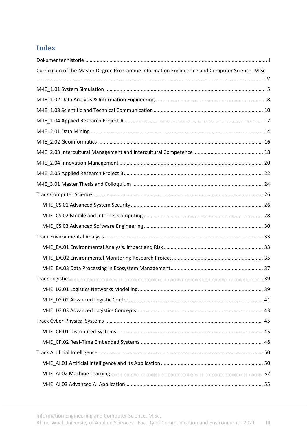# **Index**

| Curriculum of the Master Degree Programme Information Engineering and Computer Science, M.Sc. |  |
|-----------------------------------------------------------------------------------------------|--|
|                                                                                               |  |
|                                                                                               |  |
|                                                                                               |  |
|                                                                                               |  |
|                                                                                               |  |
|                                                                                               |  |
|                                                                                               |  |
|                                                                                               |  |
|                                                                                               |  |
|                                                                                               |  |
|                                                                                               |  |
|                                                                                               |  |
|                                                                                               |  |
|                                                                                               |  |
|                                                                                               |  |
|                                                                                               |  |
|                                                                                               |  |
|                                                                                               |  |
|                                                                                               |  |
|                                                                                               |  |
|                                                                                               |  |
|                                                                                               |  |
|                                                                                               |  |
|                                                                                               |  |
|                                                                                               |  |
|                                                                                               |  |
|                                                                                               |  |
|                                                                                               |  |
|                                                                                               |  |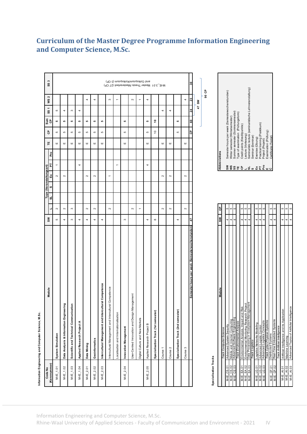# **Curriculum of the Master Degree Programme Information Engineering and Computer Science, M.Sc.**

| (Kennnummer)<br>Code No                                       | Module                                                                              | និ             | 5L                       | Type (Veranstaltungsart)<br>S) | ĔX             | F                         | Pro | ٣                                                                            | ზ              | Sum<br>ů                                                                        | ۰<br>SS         | $\mathbf{\tilde{z}}$<br>χg | c<br>SS                                                                           |
|---------------------------------------------------------------|-------------------------------------------------------------------------------------|----------------|--------------------------|--------------------------------|----------------|---------------------------|-----|------------------------------------------------------------------------------|----------------|---------------------------------------------------------------------------------|-----------------|----------------------------|-----------------------------------------------------------------------------------|
| $M$ -IE_1.01                                                  | System Simulation                                                                   | $\mathfrak{S}$ | $\sim$                   |                                | $\sim$         | $\overline{\phantom{a}}$  |     | ш                                                                            | $\mathfrak{S}$ | LO.                                                                             | S               |                            |                                                                                   |
| $M - E_1.02$                                                  | Data Analysis & Information Engineering                                             | 4              | $\sim$                   |                                | $\sim$         |                           |     | ш                                                                            | $\mathfrak{S}$ | s.                                                                              | 4               |                            |                                                                                   |
| $MHE$ $1.03$                                                  | Scientific and Technical Communication                                              | ო              | $\infty$                 |                                |                |                           |     | ш                                                                            | $\mathfrak{S}$ | 5                                                                               | S               |                            |                                                                                   |
| $MHE_1.04$                                                    | Applied Research Project A                                                          | 4              |                          |                                |                | 4                         |     | ш                                                                            | ъ              | 5                                                                               | 4               |                            |                                                                                   |
| $M$ -IE_2.01                                                  | Data Mining                                                                         | 4              | $\sim$                   |                                | $\sim$         |                           |     | ш                                                                            | S              | Б                                                                               |                 | 4                          |                                                                                   |
| $M$ -IE 2.02                                                  | Geoinformatics                                                                      | 4              | $\sim$                   |                                | $\sim$         |                           |     | ш                                                                            | S              | ဖ                                                                               |                 | 4                          |                                                                                   |
| $M$ -IE $_2$ 03                                               | Intercultural Management and Intercultural Competence                               | 4              |                          |                                |                |                           |     | ш                                                                            | Б              | ဖ                                                                               |                 |                            |                                                                                   |
|                                                               | Intercultural Management and Intercultural Competence                               |                | $\sim$                   |                                | $\overline{ }$ |                           |     |                                                                              |                |                                                                                 |                 | $\infty$                   | and Colloquium/Kolloquium (3 CP)<br>M-IE_3.01 Master Thesis /Masterarbeit (27 CP) |
|                                                               | Localisation and Internationalisation                                               |                |                          |                                |                | $\overline{\phantom{0}}$  |     |                                                                              |                |                                                                                 |                 | $\overline{ }$             |                                                                                   |
| M-IE_2.04                                                     | <b>Innovation Management</b>                                                        | က              |                          |                                |                |                           |     | ш                                                                            | $\mathfrak{S}$ | ဖာ                                                                              |                 |                            |                                                                                   |
|                                                               | User-Centred Innovation and Design Management                                       |                | $\sim$                   |                                |                |                           |     |                                                                              |                |                                                                                 |                 | $\sim$                     |                                                                                   |
|                                                               | Digital Culture and New Markets                                                     |                | $\overline{\phantom{a}}$ |                                |                |                           |     |                                                                              |                |                                                                                 |                 | $\overline{ }$             |                                                                                   |
| M-IE_2.05                                                     | Applied Research Project B                                                          | 4              |                          |                                |                | 4                         |     | ш                                                                            | Ю              | LO.                                                                             |                 | $\overline{\phantom{a}}$   |                                                                                   |
|                                                               | Specialisation Track (1st semester)                                                 | $^\infty$      |                          |                                |                |                           |     |                                                                              | $\frac{1}{2}$  | ۽                                                                               |                 |                            |                                                                                   |
|                                                               | Course <sub>1</sub>                                                                 |                | $\sim$                   |                                | $\sim$         |                           |     | ш                                                                            |                |                                                                                 | $\overline{4}$  |                            |                                                                                   |
|                                                               | Course <sub>2</sub>                                                                 |                | $\sim$                   |                                | $\sim$         |                           |     | ш                                                                            |                |                                                                                 | 4               |                            |                                                                                   |
|                                                               | Specialisation Track (2nd semester)                                                 | 4              |                          |                                |                |                           |     |                                                                              | $\mathfrak{S}$ | ဖ                                                                               |                 |                            |                                                                                   |
|                                                               | Course 3                                                                            |                | $\sim$                   |                                | $\sim$         |                           |     | ш                                                                            |                |                                                                                 |                 | 4                          |                                                                                   |
|                                                               | Semester hours per week (Semesterwochenstunden)                                     | 47             |                          |                                |                |                           |     |                                                                              | \$             | 60                                                                              | $\overline{24}$ | ឌ                          | <b>ន</b>                                                                          |
|                                                               |                                                                                     |                |                          |                                |                |                           |     |                                                                              |                |                                                                                 | 47              | ္တ<br>§₩                   | ဇိ                                                                                |
| Specialisation Tracks                                         |                                                                                     |                |                          |                                |                |                           |     |                                                                              |                |                                                                                 |                 |                            |                                                                                   |
|                                                               | Module<br>hoei.                                                                     | SW             | ဇ                        |                                |                | <b>Abbreviations</b>      |     |                                                                              |                |                                                                                 |                 |                            |                                                                                   |
| M-IE_CS.01                                                    | Advanced System Security                                                            | 4              | မာ                       |                                |                |                           |     |                                                                              |                | Semester hours per week (Semesterwochenstunden)                                 |                 |                            |                                                                                   |
| M-IE_CS.02<br>M-IE_CS.03                                      | 6uµəəul6u∃ əιεмµos pəoue∧p∀<br>6uµnduo⊝ pəurəµl pue əliqoW                          | 4              | Б                        |                                |                |                           |     | Winter semester (Wintersemester)                                             |                |                                                                                 |                 |                            |                                                                                   |
|                                                               | Track Environmental Analy                                                           | 4              | S                        |                                |                |                           |     |                                                                              |                | Summer semester (Sommersemester)<br>Type of examination (Prüfungsform)          |                 |                            |                                                                                   |
| M-IE_EA.01<br>M-IE_EA.02<br>M-IE_EA.03                        | Environmental Analysis, Impact and Risk                                             | 4              | 40                       |                                |                | % % % 뉴 요 ㄱ 억 ∾ 맛 돈 동 ㄲ ㅇ |     | Credit points (Kreditpunkte)                                                 |                |                                                                                 |                 |                            |                                                                                   |
|                                                               | Environmental Monitoring Research Project<br>Data Processing in Ecosystem Managemen | 4<br>4         | S<br>S                   |                                |                |                           |     |                                                                              |                | Lecture (Vorlesung)<br>Seminaristic lecture (seminaristische Lehrveranstaltung) |                 |                            |                                                                                   |
|                                                               | Track Logistics                                                                     |                |                          |                                |                |                           |     | Seminar (Seminar)                                                            |                |                                                                                 |                 |                            |                                                                                   |
| M-IE_LG.02<br>M-IE_LG.01                                      | Logistics Networks Modeling                                                         | 4              | LO<br>5                  |                                |                |                           |     | Exercise (Übung)                                                             |                |                                                                                 |                 |                            |                                                                                   |
| MHE LG.03                                                     | Advanced Logistic Control<br>Advanced Logistics Concepts                            | 4<br>4         | 40                       |                                |                |                           |     | Practical training (Praktikum)<br>Project (Projekt)<br>Examination (Prüfung) |                |                                                                                 |                 |                            |                                                                                   |
|                                                               | Track Cyber-Physical Systems<br>Distributed Systems                                 |                |                          |                                |                |                           |     |                                                                              |                |                                                                                 |                 |                            |                                                                                   |
| M-IE_CP.01<br>M-IE_CP.02                                      | Real-Time Embedded System                                                           | 4              | <b>in</b> in             |                                |                |                           |     | Certificate (Testat)                                                         |                |                                                                                 |                 |                            |                                                                                   |
|                                                               | Track Artificial Intelligence                                                       |                |                          |                                |                |                           |     |                                                                              |                |                                                                                 |                 |                            |                                                                                   |
| $\frac{\text{W-E} - \text{A1.01}}{\text{W-E} - \text{A1.02}}$ | Artificial Intelligence and its Application<br>Machine Learning                     | 44             | ဖြေ ဖြ                   |                                |                |                           |     |                                                                              |                |                                                                                 |                 |                            |                                                                                   |

M-IE\_AI.03  $\,$  Advanced Topics of Artificilal Intelligence  $\,$ 

**Information Engineering and Computer Science, M.Sc. M<sub>Sc</sub>** ś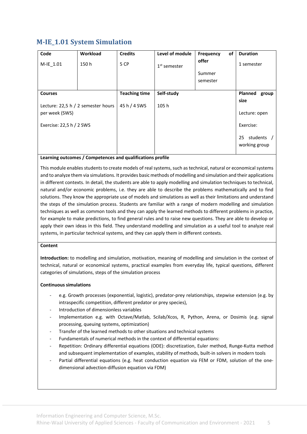# **M‐IE\_1.01 System Simulation**

| Code                     | <b>Workload</b>                    | <b>Credits</b>       | Level of module | Frequency | of | <b>Duration</b>                 |
|--------------------------|------------------------------------|----------------------|-----------------|-----------|----|---------------------------------|
| M-IE 1.01                | 150h                               | 5 CP                 | $1st$ semester  | offer     |    | 1 semester                      |
|                          |                                    |                      |                 | Summer    |    |                                 |
|                          |                                    |                      |                 | semester  |    |                                 |
|                          |                                    |                      |                 |           |    |                                 |
| <b>Courses</b>           |                                    | <b>Teaching time</b> | Self-study      |           |    | Planned<br>group                |
|                          | Lecture: 22,5 h / 2 semester hours | 45 h / 4 SWS         | 105h            |           |    | size                            |
| per week (SWS)           |                                    |                      |                 |           |    | Lecture: open                   |
| Exercise: 22,5 h / 2 SWS |                                    |                      |                 |           |    | Exercise:                       |
|                          |                                    |                      |                 |           |    | 25<br>students<br>working group |

**Learning outcomes / Competences and qualifications profile**

This module enables students to create models of realsystems, such as technical, natural or economical systems and to analyze them via simulations. It provides basic methods of modelling and simulation and their applications in different contexts. In detail, the students are able to apply modelling and simulation techniques to technical, natural and/or economic problems, i.e. they are able to describe the problems mathematically and to find solutions. They know the appropriate use of models and simulations as well as their limitations and understand the steps of the simulation process. Students are familiar with a range of modern modelling and simulation techniques as well as common tools and they can apply the learned methods to different problems in practice, for example to make predictions, to find general rules and to raise new questions. They are able to develop or apply their own ideas in this field. They understand modelling and simulation as a useful tool to analyze real systems, in particular technical systems, and they can apply them in different contexts.

# **Content**

**Introduction:** to modelling and simulation, motivation, meaning of modelling and simulation in the context of technical, natural or economical systems, practical examples from everyday life, typical questions, different categories of simulations, steps of the simulation process

# **Continuous simulations**

- ‐ e.g. Growth processes (exponential, logistic), predator‐prey relationships, stepwise extension (e.g. by intraspecific competition, different predator or prey species),
- ‐ Introduction of dimensionless variables
- Implementation e.g. with Octave/Matlab, Scilab/Xcos, R, Python, Arena, or Dosimis (e.g. signal processing, queuing systems, optimization)
- ‐ Transfer of the learned methods to other situations and technical systems
- ‐ Fundamentals of numerical methods in the context of differential equations:
- ‐ Repetition: Ordinary differential equations (ODE): discretization, Euler method, Runge‐Kutta method and subsequent implementation of examples, stability of methods, built-in solvers in modern tools
- Partial differential equations (e.g. heat conduction equation via FEM or FDM, solution of the onedimensional advection‐diffusion equation via FDM)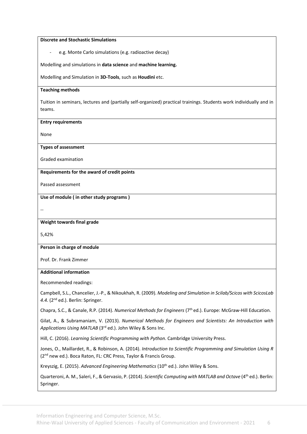#### **Discrete and Stochastic Simulations**

‐ e.g. Monte Carlo simulations (e.g. radioactive decay)

Modelling and simulations in **data science** and **machine learning.**

Modelling and Simulation in **3D‐Tools**, such as **Houdini** etc.

#### **Teaching methods**

Tuition in seminars, lectures and (partially self‐organized) practical trainings. Students work individually and in teams.

#### **Entry requirements**

None

#### **Types of assessment**

Graded examination

#### **Requirements for the award of credit points**

Passed assessment

**Use of module ( in other study programs )**

‐‐

#### **Weight towards final grade**

5,42%

#### **Person in charge of module**

Prof. Dr. Frank Zimmer

#### **Additional information**

Recommended readings:

Campbell, S.L., Chancelier, J.‐P., & Nikoukhah, R. (2009). *Modeling and Simulation in Scilab/Scicos with ScicosLab* 4.4. (2<sup>nd</sup> ed.). Berlin: Springer.

Chapra, S.C., & Canale, R.P. (2014). *Numerical Methods for Engineers* (7th ed.). Europe: McGraw‐Hill Education.

Gilat, A., & Subramaniam, V. (2013). *Numerical Methods for Engineers and Scientists: An Introduction with Applications Using MATLAB* (3rd ed.). John Wiley & Sons Inc.

Hill, C. (2016). *Learning Scientific Programming with Python*. Cambridge University Press.

Jones, O., Maillardet, R., & Robinson, A. (2014). *Introduction to Scientific Programming and Simulation Using R* (2<sup>nd</sup> new ed.). Boca Raton, FL: CRC Press, Taylor & Francis Group.

Kreyszig, E. (2015). *Advanced Engineering Mathematics* (10th ed.). John Wiley & Sons.

Quarteroni, A. M., Saleri, F., & Gervasio, P. (2014). *Scientific Computing with MATLAB and Octave* (4th ed.). Berlin: Springer.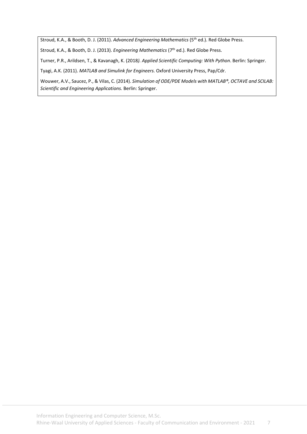Stroud, K.A., & Booth, D. J. (2011). *Advanced Engineering Mathematics* (5th ed.). Red Globe Press.

Stroud, K.A., & Booth, D. J. (2013). *Engineering Mathematics* (7th ed.). Red Globe Press.

Turner, P.R., Arildsen, T., & Kavanagh, K. (2018*). Applied Scientific Computing: With Python*. Berlin: Springer.

Tyagi, A.K. (2011). *MATLAB and Simulink for Engineers.* Oxford University Press, Pap/Cdr.

Wouwer, A.V., Saucez, P., & Vilas, C. (2014). *Simulation of ODE/PDE Models with MATLAB®, OCTAVE and SCILAB: Scientific and Engineering Applications.* Berlin: Springer.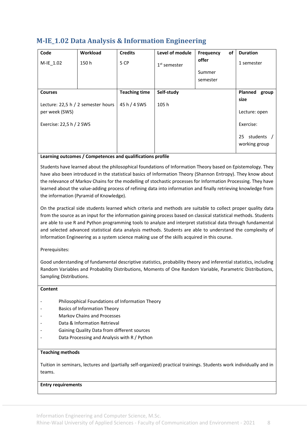# **M‐IE\_1.02 Data Analysis & Information Engineering**

| Code                     | Workload                           | <b>Credits</b>       | Level of module | Frequency | οf | <b>Duration</b>                 |
|--------------------------|------------------------------------|----------------------|-----------------|-----------|----|---------------------------------|
| M-IE 1.02                | 150 h                              | 5 CP                 | $1st$ semester  | offer     |    | 1 semester                      |
|                          |                                    |                      |                 | Summer    |    |                                 |
|                          |                                    |                      |                 | semester  |    |                                 |
|                          |                                    |                      |                 |           |    |                                 |
| <b>Courses</b>           |                                    | <b>Teaching time</b> | Self-study      |           |    | <b>Planned</b><br>group         |
|                          | Lecture: 22,5 h / 2 semester hours | 45 h / 4 SWS         | 105h            |           |    | size                            |
| per week (SWS)           |                                    |                      |                 |           |    | Lecture: open                   |
| Exercise: 22,5 h / 2 SWS |                                    |                      |                 |           |    | Exercise:                       |
|                          |                                    |                      |                 |           |    | 25<br>students<br>working group |

**Learning outcomes / Competences and qualifications profile**

Students have learned about the philosophical foundations of Information Theory based on Epistemology. They have also been introduced in the statistical basics of Information Theory (Shannon Entropy). They know about the relevance of Markov Chains for the modelling of stochastic processes for Information Processing. They have learned about the value‐adding process of refining data into information and finally retrieving knowledge from the information (Pyramid of Knowledge).

On the practical side students learned which criteria and methods are suitable to collect proper quality data from the source as an input for the information gaining process based on classical statistical methods. Students are able to use R and Python programming tools to analyze and interpret statistical data through fundamental and selected advanced statistical data analysis methods. Students are able to understand the complexity of Information Engineering as a system science making use of the skills acquired in this course.

Prerequisites:

Good understanding of fundamental descriptive statistics, probability theory and inferential statistics, including Random Variables and Probability Distributions, Moments of One Random Variable, Parametric Distributions, Sampling Distributions.

# **Content**

- ‐ Philosophical Foundations of Information Theory
- ‐ Basics of Information Theory
- ‐ Markov Chains and Processes
- Data & Information Retrieval
- ‐ Gaining Quality Data from different sources
- Data Processing and Analysis with R / Python

# **Teaching methods**

Tuition in seminars, lectures and (partially self‐organized) practical trainings. Students work individually and in teams.

# **Entry requirements**

Information Engineering and Computer Science, M.Sc. Rhine‐Waal University of Applied Sciences ‐ Faculty of Communication and Environment ‐ 2021 8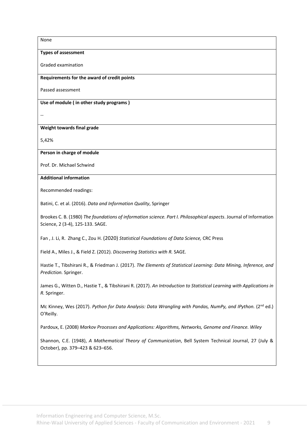None

**Types of assessment**

Graded examination

**Requirements for the award of credit points**

Passed assessment

**Use of module ( in other study programs )**

‐‐

# **Weight towards final grade**

5,42%

**Person in charge of module**

Prof. Dr. Michael Schwind

# **Additional information**

Recommended readings:

Batini, C. et al. (2016). *Data and Information Quality*, Springer

Brookes C. B. (1980) *The foundations of information science. Part I. Philosophical aspects*. Journal of Information Science, 2 (3‐4), 125‐133. SAGE.

Fan , J. Li, R. Zhang C., Zou H. (2020) *Statistical Foundations of Data Science,* CRC Press

Field A., Miles J., & Field Z. (2012). *Discovering Statistics with R.* SAGE*.*

Hastie T., Tibshirani R., & Friedman J. (2017). *The Elements of Statistical Learning: Data Mining, Inference, and Prediction.* Springer.

James G., Witten D., Hastie T., & Tibshirani R. (2017). *An Introduction to Statistical Learning with Applications in R.* Springer.

Mc Kinney, Wes (2017). *Python for Data Analysis: Data Wrangling with Pandas, NumPy, and IPython.* (2nd ed.) O'Reilly.

Pardoux, E. (2008) *Markov Processes and Applications: Algorithms, Networks, Genome and Finance. Wiley* 

Shannon, C.E. (1948), *A Mathematical Theory of Communication*, Bell System Technical Journal, 27 (July & October), pp. 379–423 & 623–656.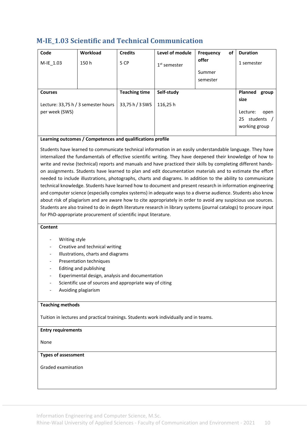# **M‐IE\_1.03 Scientific and Technical Communication**

| Code           | Workload                            | <b>Credits</b>       | Level of module | οf<br>Frequency | <b>Duration</b>  |
|----------------|-------------------------------------|----------------------|-----------------|-----------------|------------------|
| M-IE 1.03      | 150h                                | 5 CP                 | $1st$ semester  | offer           | 1 semester       |
|                |                                     |                      |                 | Summer          |                  |
|                |                                     |                      |                 | semester        |                  |
|                |                                     |                      |                 |                 |                  |
| <b>Courses</b> |                                     | <b>Teaching time</b> | Self-study      |                 | Planned<br>group |
|                | Lecture: 33,75 h / 3 semester hours | 33,75 h / 3 SWS      | 116,25h         |                 | size             |
| per week (SWS) |                                     |                      |                 |                 | Lecture:<br>open |
|                |                                     |                      |                 |                 | 25 students      |
|                |                                     |                      |                 |                 | working group    |
|                |                                     |                      |                 |                 |                  |

## **Learning outcomes / Competences and qualifications profile**

Students have learned to communicate technical information in an easily understandable language. They have internalized the fundamentals of effective scientific writing. They have deepened their knowledge of how to write and revise (technical) reports and manuals and have practiced their skills by completing different handson assignments. Students have learned to plan and edit documentation materials and to estimate the effort needed to include illustrations, photographs, charts and diagrams. In addition to the ability to communicate technical knowledge. Students have learned how to document and present research in information engineering and computer science (especially complex systems) in adequate ways to a diverse audience. Students also know about risk of plagiarism and are aware how to cite appropriately in order to avoid any suspicious use sources. Students are also trained to do in depth literature research in library systems (journal catalogs) to procure input for PhD‐appropriate procurement of scientific input literature.

#### **Content**

- ‐ Writing style
- ‐ Creative and technical writing
- ‐ Illustrations, charts and diagrams
- ‐ Presentation techniques
- ‐ Editing and publishing
- ‐ Experimental design, analysis and documentation
- Scientific use of sources and appropriate way of citing
- ‐ Avoiding plagiarism

# **Teaching methods**

Tuition in lectures and practical trainings. Students work individually and in teams.

#### **Entry requirements**

None

# **Types of assessment**

Graded examination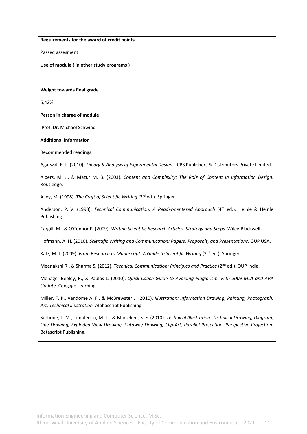**Requirements for the award of credit points**

Passed assesment

**Use of module ( in other study programs )**

‐‐

#### **Weight towards final grade**

5,42%

#### **Person in charge of module**

Prof. Dr. Michael Schwind

#### **Additional information**

Recommended readings:

Agarwal, B. L. (2010). *Theory & Analysis of Experimental Designs.* CBS Publishers & Distributors Private Limited.

Albers, M. J., & Mazur M. B. (2003). *Content and Complexity: The Role of Content in Information Design*. Routledge.

Alley, M. (1998). *The Craft of Scientific Writing* (3rd ed.). Springer.

Anderson, P. V. (1998). *Technical Communication: A Reader‐centered Approach* (4th ed.). Heinle & Heinle Publishing.

Cargill, M., & O'Connor P. (2009). *Writing Scientific Research Articles: Strategy and Steps*. Wiley‐Blackwell.

Hofmann, A. H. (2010). *Scientific Writing and Communication: Papers, Proposals, and Presentations*. OUP USA.

Katz, M. J. (2009). *From Research to Manuscript: A Guide to Scientific Writing* (2nd ed.). Springer.

Meenakshi R., & Sharma S. (2012). *Technical Communication: Principles and Practice* (2nd ed.). OUP India.

Menager‐Beeley, R., & Paulos L. (2010). *Quick Coach Guide to Avoiding Plagiarism: with 2009 MLA and APA Update.* Cengage Learning.

Miller, F. P., Vandome A. F., & McBrewster J. (2010). *Illustration: Information Drawing, Painting, Photograph, Art, Technical illustration.* Alphascript Publishing.

Surhone, L. M., Timpledon, M. T., & Marseken, S. F. (2010). *Technical Illustration: Technical Drawing, Diagram, Line Drawing, Exploded View Drawing, Cutaway Drawing, Clip‐Art, Parallel Projection, Perspective Projection.* Betascript Publishing.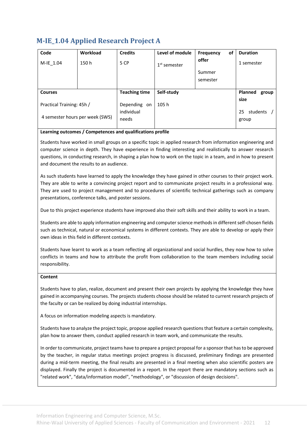# **M‐IE\_1.04 Applied Research Project A**

| Code                                                         | <b>Workload</b> | <b>Credits</b>                      | Level of module | Frequency | οf | <b>Duration</b>                 |
|--------------------------------------------------------------|-----------------|-------------------------------------|-----------------|-----------|----|---------------------------------|
| M-IE 1.04                                                    | 150h            | 5 CP                                | $1st$ semester  | offer     |    | 1 semester                      |
|                                                              |                 |                                     |                 | Summer    |    |                                 |
|                                                              |                 |                                     |                 | semester  |    |                                 |
|                                                              |                 |                                     |                 |           |    |                                 |
| <b>Courses</b>                                               |                 | <b>Teaching time</b>                | Self-study      |           |    | Planned<br>group                |
| Practical Training: 45h /<br>4 semester hours per week (SWS) |                 | Depending on<br>individual<br>needs | 105 h           |           |    | size<br>25<br>students<br>group |

# **Learning outcomes / Competences and qualifications profile**

Students have worked in small groups on a specific topic in applied research from information engineering and computer science in depth. They have experience in finding interesting and realistically to answer research questions, in conducting research, in shaping a plan how to work on the topic in a team, and in how to present and document the results to an audience.

As such students have learned to apply the knowledge they have gained in other courses to their project work. They are able to write a convincing project report and to communicate project results in a professional way. They are used to project management and to procedures of scientific technical gatherings such as company presentations, conference talks, and poster sessions.

Due to this project experience students have improved also their soft skills and their ability to work in a team.

Students are able to apply information engineering and computer science methods in different self-chosen fields such as technical, natural or economical systems in different contexts. They are able to develop or apply their own ideas in this field in different contexts.

Students have learnt to work as a team reflecting all organizational and social hurdles, they now how to solve conflicts in teams and how to attribute the profit from collaboration to the team members including social responsibility.

# **Content**

Students have to plan, realize, document and present their own projects by applying the knowledge they have gained in accompanying courses. The projects students choose should be related to current research projects of the faculty or can be realized by doing industrial internships.

A focus on information modeling aspects is mandatory.

Students have to analyze the project topic, propose applied research questionsthat feature a certain complexity, plan how to answer them, conduct applied research in team work, and communicate the results.

In order to communicate, project teams have to prepare a project proposal for a sponsor that hasto be approved by the teacher, in regular status meetings project progress is discussed, preliminary findings are presented during a mid‐term meeting, the final results are presented in a final meeting when also scientific posters are displayed. Finally the project is documented in a report. In the report there are mandatory sections such as "related work", "data/information model", "methodology", or "discussion of design decisions".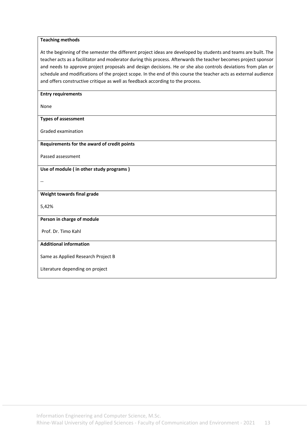#### **Teaching methods**

At the beginning of the semester the different project ideas are developed by students and teams are built. The teacher acts as a facilitator and moderator during this process. Afterwards the teacher becomes project sponsor and needs to approve project proposals and design decisions. He or she also controls deviations from plan or schedule and modifications of the project scope. In the end of this course the teacher acts as external audience and offers constructive critique as well as feedback according to the process.

#### **Entry requirements**

None

#### **Types of assessment**

Graded examination

### **Requirements for the award of credit points**

Passed assessment

#### **Use of module ( in other study programs )**

‐‐

# **Weight towards final grade**

5,42%

### **Person in charge of module**

Prof. Dr. Timo Kahl

# **Additional information**

Same as Applied Research Project B

Literature depending on project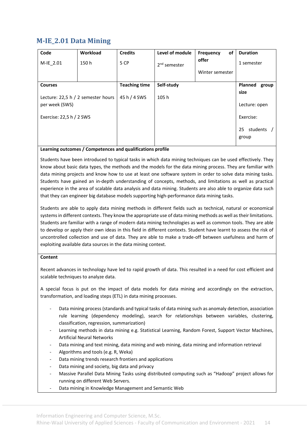# **M‐IE\_2.01 Data Mining**

| Code                       | Workload                           | <b>Credits</b>       | Level of module          | of<br>Frequency | <b>Duration</b>         |
|----------------------------|------------------------------------|----------------------|--------------------------|-----------------|-------------------------|
| M-IE 2.01                  | 150 h                              | 5 CP                 | 2 <sup>nd</sup> semester | offer           | 1 semester              |
|                            |                                    |                      |                          | Winter semester |                         |
| <b>Courses</b>             |                                    | <b>Teaching time</b> | Self-study               |                 | Planned<br>group        |
|                            | Lecture: 22,5 h / 2 semester hours | 45 h / 4 SWS         | 105h                     |                 | size                    |
| per week (SWS)             |                                    |                      |                          |                 | Lecture: open           |
| Exercise: $22,5 h / 2$ SWS |                                    |                      |                          |                 | Exercise:               |
|                            |                                    |                      |                          |                 | 25<br>students<br>group |

**Learning outcomes / Competences and qualifications profile**

Students have been introduced to typical tasks in which data mining techniques can be used effectively. They know about basic data types, the methods and the models for the data mining process. They are familiar with data mining projects and know how to use at least one software system in order to solve data mining tasks. Students have gained an in‐depth understanding of concepts, methods, and limitations as well as practical experience in the area of scalable data analysis and data mining. Students are also able to organize data such that they can engineer big database models supporting high‐performance data mining tasks.

Students are able to apply data mining methods in different fields such as technical, natural or economical systems in different contexts. They know the appropriate use of data mining methods as well as their limitations. Students are familiar with a range of modern data mining technologies as well as common tools. They are able to develop or apply their own ideas in this field in different contexts. Student have learnt to assess the risk of uncontrolled collection and use of data. They are able to make a trade‐off between usefulness and harm of exploiting available data sources in the data mining context. 

# **Content**

Recent advances in technology have led to rapid growth of data. This resulted in a need for cost efficient and scalable techniques to analyze data.

A special focus is put on the impact of data models for data mining and accordingly on the extraction, transformation, and loading steps (ETL) in data mining processes.

- ‐ Data mining process (standards and typical tasks of data mining such as anomaly detection, association rule learning (dependency modeling), search for relationships between variables, clustering, classification, regression, summarization)
- ‐ Learning methods in data mining e.g. Statistical Learning, Random Forest, Support Vector Machines, Artificial Neural Networks
- ‐ Data mining and text mining, data mining and web mining, data mining and information retrieval
- ‐ Algorithms and tools (e.g. R, Weka)
- ‐ Data mining trends research frontiers and applications
- Data mining and society, big data and privacy
- ‐ Massive Parallel Data Mining Tasks using distributed computing such as "Hadoop" project allows for running on different Web Servers.
- ‐ Data mining in Knowledge Management and Semantic Web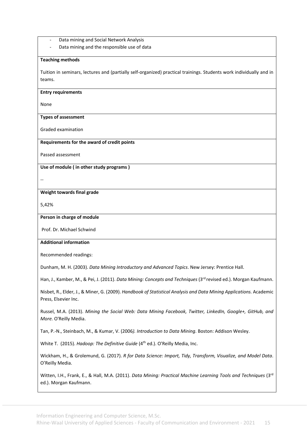- ‐ Data mining and Social Network Analysis
- ‐ Data mining and the responsible use of data

#### **Teaching methods**

Tuition in seminars, lectures and (partially self‐organized) practical trainings. Students work individually and in teams.

#### **Entry requirements**

None

## **Types of assessment**

Graded examination

#### **Requirements for the award of credit points**

Passed assessment

# **Use of module ( in other study programs )**

#### **Weight towards final grade**

5,42%

‐‐

#### **Person in charge of module**

Prof. Dr. Michael Schwind

#### **Additional information**

Recommended readings:

Dunham, M. H. (2003). *Data Mining Introductory and Advanced Topics*. New Jersey: Prentice Hall.

Han, J., Kamber, M., & Pei, J. (2011). *Data Mining: Concepts and Techniques* (3rd revised ed.). Morgan Kaufmann.

Nisbet, R., Elder, J., & Miner, G. (2009). *Handbook of Statistical Analysis and Data Mining Applications.* Academic Press, Elsevier Inc.

Russel, M.A. (2013). *Mining the Social Web: Data Mining Facebook, Twitter, LinkedIn, Google+, GitHub, and More.* O'Reilly Media.

Tan, P.‐N., Steinbach, M., & Kumar, V. (2006*). Introduction to Data Mining*. Boston: Addison Wesley.

White T. (2015). *Hadoop: The Definitive Guide* (4th ed.). O'Reilly Media, Inc.

Wickham, H., & Grolemund, G. (2017). *R for Data Science: Import, Tidy, Transform, Visualize, and Model Data*. O'Reilly Media.

Witten, I.H., Frank, E., & Hall, M.A. (2011). *Data Mining: Practical Machine Learning Tools and Techniques* (3rd ed.). Morgan Kaufmann.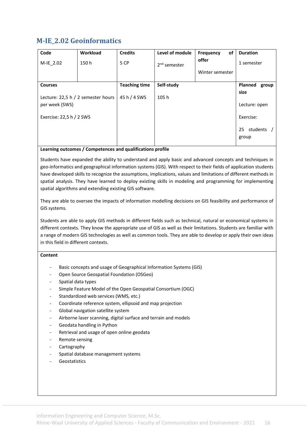# **M‐IE\_2.02 Geoinformatics**

| Code                       | Workload                           | <b>Credits</b>       | Level of module          | οf<br>Frequency | <b>Duration</b>         |
|----------------------------|------------------------------------|----------------------|--------------------------|-----------------|-------------------------|
| M-IE_2.02                  | 150 h                              | 5 CP                 | 2 <sup>nd</sup> semester | offer           | 1 semester              |
|                            |                                    |                      |                          | Winter semester |                         |
| <b>Courses</b>             |                                    | <b>Teaching time</b> | Self-study               |                 | Planned<br>group        |
|                            | Lecture: 22,5 h / 2 semester hours | 45 h / 4 SWS         | 105h                     |                 | size                    |
| per week (SWS)             |                                    |                      |                          |                 | Lecture: open           |
| Exercise: $22,5 h / 2$ SWS |                                    |                      |                          |                 | Exercise:               |
|                            |                                    |                      |                          |                 | 25<br>students<br>group |

**Learning outcomes / Competences and qualifications profile**

Students have expanded the ability to understand and apply basic and advanced concepts and techniques in geo-informatics and geographical information systems (GIS). With respect to their fields of application students have developed skills to recognize the assumptions, implications, values and limitations of different methods in spatial analysis. They have learned to deploy existing skills in modeling and programming for implementing spatial algorithms and extending existing GIS software.

They are able to oversee the impacts of information modelling decisions on GIS feasibility and performance of GIS systems.

Students are able to apply GIS methods in different fields such as technical, natural or economical systems in different contexts. They know the appropriate use of GIS as well as their limitations. Students are familiar with a range of modern GIS technologies as well as common tools. They are able to develop or apply their own ideas in this field in different contexts.

# **Content**

- ‐ Basic concepts and usage of Geographical Information Systems (GIS)
- ‐ Open Source Geospatial Foundation (OSGeo)
- ‐ Spatial data types
- ‐ Simple Feature Model of the Open Geospatial Consortium (OGC)
- Standardized web services (WMS, etc.)
- ‐ Coordinate reference system, ellipsoid and map projection
- ‐ Global navigation satellite system
- ‐ Airborne laser scanning, digital surface and terrain and models
- ‐ Geodata handling in Python
- ‐ Retrieval and usage of open online geodata
- ‐ Remote sensing
- **Cartography**
- ‐ Spatial database management systems
- **Geostatistics**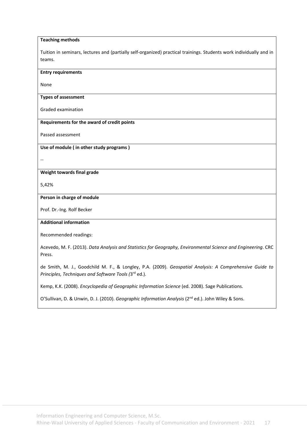#### **Teaching methods**

Tuition in seminars, lectures and (partially self‐organized) practical trainings. Students work individually and in teams.

# **Entry requirements**

None

#### **Types of assessment**

Graded examination

#### **Requirements for the award of credit points**

Passed assessment

**Use of module ( in other study programs )**

‐‐

# **Weight towards final grade**

5,42%

### **Person in charge of module**

Prof. Dr.‐Ing. Rolf Becker

#### **Additional information**

Recommended readings:

Acevedo, M. F. (2013). *Data Analysis and Statistics for Geography, Environmental Science and Engineering*. CRC Press.

de Smith, M. J., Goodchild M. F., & Longley, P.A. (2009). *Geospatial Analysis: A Comprehensive Guide to Principles, Techniques and Software Tools (*3rd ed.).

Kemp, K.K. (2008). *Encyclopedia of Geographic Information Science* (ed. 2008). Sage Publications.

O'Sullivan, D. & Unwin, D. J. (2010). *Geographic Information Analysis* (2nd ed.). John Wiley & Sons.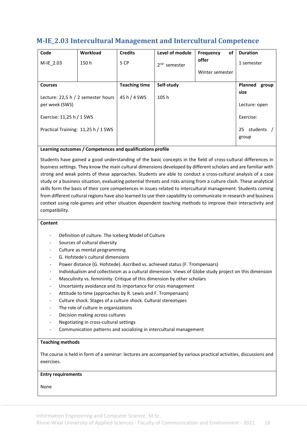# **M‐IE\_2.03 Intercultural Management and Intercultural Competence**

| Code                      | Workload                            | <b>Credits</b>       | Level of module             | of<br>Frequency | <b>Duration</b>         |
|---------------------------|-------------------------------------|----------------------|-----------------------------|-----------------|-------------------------|
| M-IE 2.03                 | 150 h                               | 5 CP                 | 2 <sub>nd</sub><br>semester | offer           | 1 semester              |
|                           |                                     |                      |                             | Winter semester |                         |
| <b>Courses</b>            |                                     | <b>Teaching time</b> | Self-study                  |                 | Planned<br>group        |
| per week (SWS)            | Lecture: 22,5 h / 2 semester hours  | 45 h / 4 SWS         | 105h                        |                 | size<br>Lecture: open   |
| Exercise: 11,25 h / 1 SWS |                                     |                      |                             |                 | Exercise:               |
|                           | Practical Training: 11,25 h / 1 SWS |                      |                             |                 | 25<br>students<br>group |

**Learning outcomes / Competences and qualifications profile**

Students have gained a good understanding of the basic concepts in the field of cross-cultural differences in business settings. They know the main cultural dimensions developed by different scholars and are familiar with strong and weak points of these approaches. Students are able to conduct a cross-cultural analysis of a case study or a business situation, evaluating potential threats and risks arising from a culture clash. These analytical skills form the basis of their core competences in issues related to intercultural management. Students coming from different cultural regions have also learned to use their capability to communicate in research and business context using role-games and other situation dependent teaching methods to improve their interactivity and compatibility.

# **Content**

- Definition of culture. The Iceberg Model of Culture
- Sources of cultural diversity
- ‐ Culture as mental programming
- ‐ G. Hofstede's cultural dimensions
- ‐ Power distance (G. Hofstede). Ascribed vs. achieved status (F. Trompenaars)
- ‐ Individualism and collectivism as a cultural dimension. Views of Globe study project on this dimension
- Masculinity vs. femininity. Critique of this dimension by other scholars
- Uncertainty avoidance and its importance for crisis management
- Attitude to time (approaches by R. Lewis and F. Trompenaars)
- ‐ Culture shock. Stages of a culture shock. Cultural stereotypes
- The role of culture in organizations
- ‐ Decision making across cultures
- ‐ Negotiating in cross‐cultural settings
- ‐ Communication patterns and socializing in intercultural management

# **Teaching methods**

The course is held in form of a seminar: lectures are accompanied by various practical activities, discussions and exercises.

# **Entry requirements**

None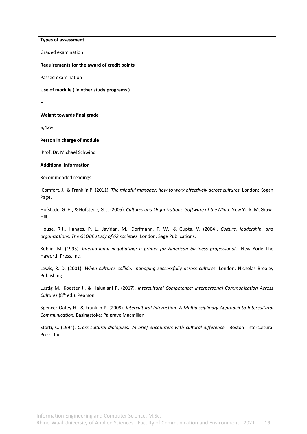#### **Types of assessment**

Graded examination

#### **Requirements for the award of credit points**

Passed examination

**Use of module ( in other study programs )**

‐‐

**Weight towards final grade**

5,42%

#### **Person in charge of module**

Prof. Dr. Michael Schwind

#### **Additional information**

Recommended readings:

Comfort, J., & Franklin P. (2011). *The mindful manager: how to work effectively across cultures*. London: Kogan Page.

Hofstede, G. H., & Hofstede, G. J. (2005). *Cultures and Organizations: Software of the Mind*. New York: McGraw‐ Hill.

House, R.J., Hanges, P. L., Javidan, M., Dorfmann, P. W., & Gupta, V. (2004). *Culture, leadership, and organizations: The GLOBE study of 62 societies.* London: Sage Publications.

Kublin, M. (1995). *International negotiating: a primer for American business professionals*. New York: The Haworth Press, Inc.

Lewis, R. D. (2001). *When cultures collide: managing successfully across cultures.* London: Nicholas Brealey Publishing.

Lustig M., Koester J., & Halualani R. (2017). *Intercultural Competence: Interpersonal Communication Across* Cultures (8<sup>th</sup> ed.). Pearson.

Spencer‐Oatey H., & Franklin P. (2009). *Intercultural Interaction: A Multidisciplinary Approach to Intercultural Communication.* Basingstoke: Palgrave Macmillan.

Storti, C. (1994). *Cross‐cultural dialogues. 74 brief encounters with cultural difference.* Boston: Intercultural Press, Inc.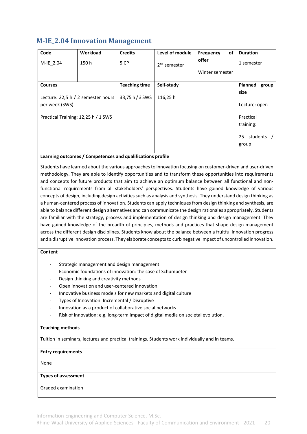# **M‐IE\_2.04 Innovation Management**

| Code                                | Workload                           | <b>Credits</b>       | Level of module          | οf<br>Frequency | <b>Duration</b>  |
|-------------------------------------|------------------------------------|----------------------|--------------------------|-----------------|------------------|
| M-IE 2.04                           | 150 h                              | 5 CP                 | 2 <sup>nd</sup> semester | offer           | 1 semester       |
|                                     |                                    |                      |                          | Winter semester |                  |
| <b>Courses</b>                      |                                    | <b>Teaching time</b> | Self-study               |                 | Planned<br>group |
|                                     | Lecture: 22,5 h / 2 semester hours |                      | 116,25h                  |                 | size             |
| per week (SWS)                      |                                    |                      |                          |                 | Lecture: open    |
| Practical Training: 12,25 h / 1 SWS |                                    |                      |                          |                 | Practical        |
|                                     |                                    |                      |                          |                 | training:        |
|                                     |                                    |                      |                          |                 | 25<br>students   |
|                                     |                                    |                      |                          |                 | group            |

**Learning outcomes / Competences and qualifications profile**

Students have learned about the various approaches to innovation focusing on customer‐driven and user‐driven methodology. They are able to identify opportunities and to transform these opportunities into requirements and concepts for future products that aim to achieve an optimum balance between all functional and nonfunctional requirements from all stakeholders' perspectives. Students have gained knowledge of various concepts of design, including design activities such as analysis and synthesis. They understand design thinking as a human‐centered process of innovation. Students can apply techniques from design thinking and synthesis, are able to balance different design alternatives and can communicate the design rationales appropriately. Students are familiar with the strategy, process and implementation of design thinking and design management. They have gained knowledge of the breadth of principles, methods and practices that shape design management across the different design disciplines. Students know about the balance between a fruitful innovation progress and a disruptive innovation process. They elaborate concepts to curb negative impact of uncontrolled innovation.

# **Content**

- Strategic management and design management
- ‐ Economic foundations of innovation: the case of Schumpeter
- ‐ Design thinking and creativity methods
- ‐ Open innovation and user‐centered innovation
- ‐ Innovative business models for new markets and digital culture
- ‐ Types of Innovation: Incremental / Disruptive
- ‐ Innovation as a product of collaborative social networks
- Risk of innovation: e.g. long-term impact of digital media on societal evolution.

#### **Teaching methods**

Tuition in seminars, lectures and practical trainings. Students work individually and in teams.

#### **Entry requirements**

None

#### **Types of assessment**

### Graded examination

Information Engineering and Computer Science, M.Sc.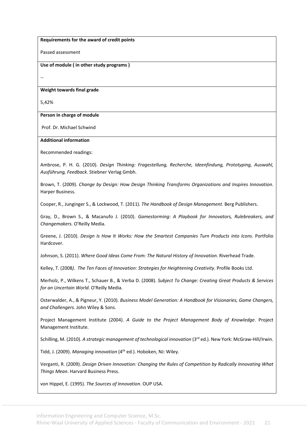**Requirements for the award of credit points**

Passed assessment

**Use of module ( in other study programs )**

‐‐

### **Weight towards final grade**

5,42%

#### **Person in charge of module**

Prof. Dr. Michael Schwind

#### **Additional information**

Recommended readings:

Ambrose, P. H. G. (2010). *Design Thinking: Fragestellung, Recherche, Ideenfindung, Prototyping, Auswahl, Ausführung, Feedback.* Stiebner Verlag Gmbh.

Brown, T. (2009). *Change by Design: How Design Thinking Transforms Organizations and Inspires Innovation*. Harper Business.

Cooper, R., Junginger S., & Lockwood, T. (2011). *The Handbook of Design Management*. Berg Publishers.

Gray, D., Brown S., & Macanufo J. (2010). *Gamestorming: A Playbook for Innovators, Rulebreakers, and Changemakers.* O'Reilly Media.

Greene, J. (2010). *Design Is How It Works: How the Smartest Companies Turn Products into Icons*. Portfolio Hardcover.

Johnson, S. (2011). *Where Good Ideas Come From: The Natural History of Innovation*. Riverhead Trade.

Kelley, T. (2008*). The Ten Faces of Innovation: Strategies for Heightening Creativity*. Profile Books Ltd.

Merholz, P., Wilkens T., Schauer B., & Verba D. (2008). *Subject To Change: Creating Great Products & Services for an Uncertain World.* O'Reilly Media.

Osterwalder, A., & Pigneur, Y. (2010). *Business Model Generation: A Handbook for Visionaries, Game Changers, and Challengers.* John Wiley & Sons.

Project Management Institute (2004). *A Guide to the Project Management Body of Knowledge*. Project Management Institute.

Schilling, M. (2010). *A strategic management of technological innovation* (3rd ed.). New York: McGraw‐Hill/Irwin.

Tidd, J. (2009). *Managing innovation* (4th ed.). Hoboken, NJ: Wiley.

Verganti, R. (2009). *Design Driven Innovation: Changing the Rules of Competition by Radically Innovating What Things Mean*. Harvard Business Press.

von Hippel, E. (1995). *The Sources of Innovation*. OUP USA.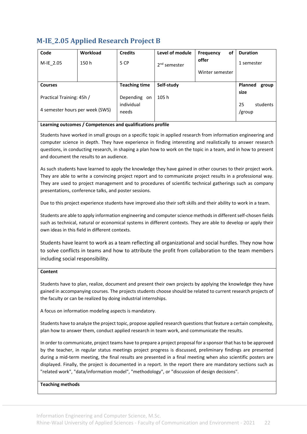# **M‐IE\_2.05 Applied Research Project B**

| Code                                                         | Workload | <b>Credits</b>                      | Level of module          | оf<br>Frequency | <b>Duration</b>                  |
|--------------------------------------------------------------|----------|-------------------------------------|--------------------------|-----------------|----------------------------------|
| M-IE 2.05                                                    | 150 h    | 5 CP                                | 2 <sup>nd</sup> semester | offer           | 1 semester                       |
|                                                              |          |                                     |                          | Winter semester |                                  |
| <b>Courses</b>                                               |          | <b>Teaching time</b>                | Self-study               |                 | Planned<br>group                 |
| Practical Training: 45h /<br>4 semester hours per week (SWS) |          | Depending on<br>individual<br>needs | 105h                     |                 | size<br>25<br>students<br>/group |

# **Learning outcomes / Competences and qualifications profile**

Students have worked in small groups on a specific topic in applied research from information engineering and computer science in depth. They have experience in finding interesting and realistically to answer research questions, in conducting research, in shaping a plan how to work on the topic in a team, and in how to present and document the results to an audience.

As such students have learned to apply the knowledge they have gained in other courses to their project work. They are able to write a convincing project report and to communicate project results in a professional way. They are used to project management and to procedures of scientific technical gatherings such as company presentations, conference talks, and poster sessions.

Due to this project experience students have improved also their soft skills and their ability to work in a team.

Students are able to apply information engineering and computer science methods in different self-chosen fields such as technical, natural or economical systems in different contexts. They are able to develop or apply their own ideas in this field in different contexts.

Students have learnt to work as a team reflecting all organizational and social hurdles. They now how to solve conflicts in teams and how to attribute the profit from collaboration to the team members including social responsibility.

# **Content**

Students have to plan, realize, document and present their own projects by applying the knowledge they have gained in accompanying courses. The projects students choose should be related to current research projects of the faculty or can be realized by doing industrial internships.

A focus on information modeling aspects is mandatory.

Students have to analyze the project topic, propose applied research questionsthat feature a certain complexity, plan how to answer them, conduct applied research in team work, and communicate the results.

In order to communicate, project teams have to prepare a project proposal for a sponsor that hasto be approved by the teacher, in regular status meetings project progress is discussed, preliminary findings are presented during a mid‐term meeting, the final results are presented in a final meeting when also scientific posters are displayed. Finally, the project is documented in a report. In the report there are mandatory sections such as "related work", "data/information model", "methodology", or "discussion of design decisions".

# **Teaching methods**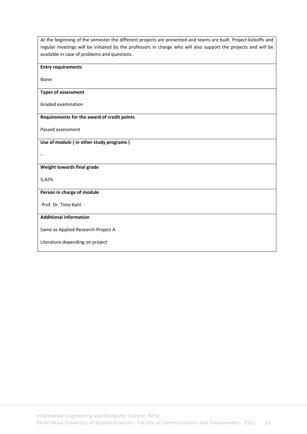At the beginning of the semester the different projects are presented and teams are built. Project kickoffs and regular meetings will be initiated by the professors in charge who will also support the projects and will be available in case of problems and questions.

# **Entry requirements**

None

# **Types of assessment**

Graded examination

# **Requirements for the award of credit points**

Passed assessment

**Use of module ( in other study programs )**

 $\overline{a}$ 

# **Weight towards final grade**

5,42%

#### **Person in charge of module**

Prof. Dr. Timo Kahl

### **Additional information**

Same as Applied Research Project A

Literature depending on project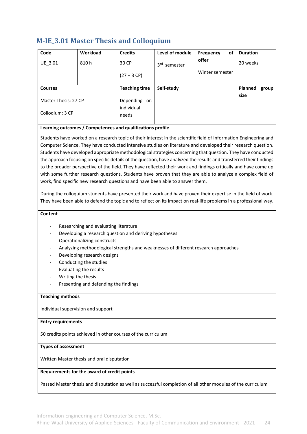# **M‐IE\_3.01 Master Thesis and Colloquium**

| Code                                    | <b>Workload</b> | <b>Credits</b>                         | Level of module             | оf<br>Frequency | <b>Duration</b>         |
|-----------------------------------------|-----------------|----------------------------------------|-----------------------------|-----------------|-------------------------|
| UE 3.01                                 | 810h            | 30 CP                                  | 3 <sup>rd</sup><br>semester | offer           | 20 weeks                |
|                                         |                 | $(27 + 3 CP)$                          |                             | Winter semester |                         |
| <b>Courses</b>                          |                 | <b>Teaching time</b>                   | Self-study                  |                 | <b>Planned</b><br>group |
| Master Thesis: 27 CP<br>Collogium: 3 CP |                 | Depending<br>on<br>individual<br>needs |                             |                 | size                    |

## **Learning outcomes / Competences and qualifications profile**

Students have worked on a research topic of their interest in the scientific field of Information Engineering and Computer Science. They have conducted intensive studies on literature and developed their research question. Students have developed appropriate methodological strategies concerning that question. They have conducted the approach focusing on specific details of the question, have analyzed the results and transferred their findings to the broader perspective of the field. They have reflected their work and findings critically and have come up with some further research questions. Students have proven that they are able to analyze a complex field of work, find specific new research questions and have been able to answer them.

During the colloquium students have presented their work and have proven their expertise in the field of work. They have been able to defend the topic and to reflect on its impact on real‐life problems in a professional way.

# **Content**

- ‐ Researching and evaluating literature
- ‐ Developing a research question and deriving hypotheses
- ‐ Operationalizing constructs
- ‐ Analyzing methodological strengths and weaknesses of different research approaches
- ‐ Developing research designs
- ‐ Conducting the studies
- ‐ Evaluating the results
- ‐ Writing the thesis
- ‐ Presenting and defending the findings

#### **Teaching methods**

Individual supervision and support

#### **Entry requirements**

50 credits points achieved in other courses of the curriculum

#### **Types of assessment**

Written Master thesis and oral disputation

# **Requirements for the award of credit points**

Passed Master thesis and disputation as well as successful completion of all other modules of the curriculum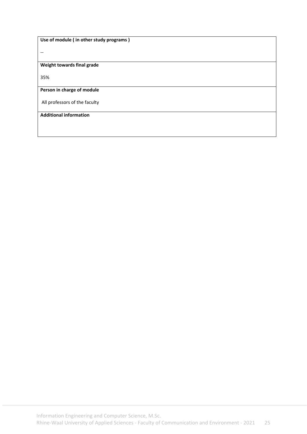**Use of module ( in other study programs )**

**Weight towards final grade**

35%

 $\Box$ 

**Person in charge of module**

All professors of the faculty

# **Additional information**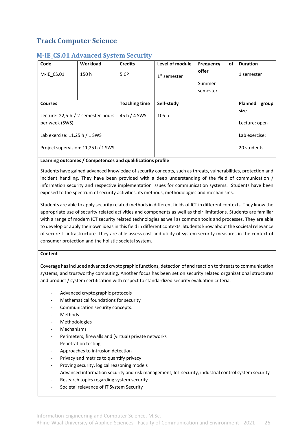# **Track Computer Science**

| Code                          | Workload                             | <b>Credits</b>       | Level of module | Frequency | of | <b>Duration</b>         |
|-------------------------------|--------------------------------------|----------------------|-----------------|-----------|----|-------------------------|
| M-IE CS.01                    | 150 h                                | 5 CP                 | $1st$ semester  | offer     |    | 1 semester              |
|                               |                                      |                      |                 | Summer    |    |                         |
|                               |                                      |                      |                 | semester  |    |                         |
|                               |                                      |                      |                 |           |    |                         |
| <b>Courses</b>                |                                      | <b>Teaching time</b> | Self-study      |           |    | <b>Planned</b><br>group |
|                               | Lecture: 22,5 h / 2 semester hours   | 45 h / 4 SWS         | 105h            |           |    | size                    |
| per week (SWS)                |                                      |                      |                 |           |    | Lecture: open           |
| Lab exercise: 11,25 h / 1 SWS |                                      |                      |                 |           |    | Lab exercise:           |
|                               | Project supervision: 11,25 h / 1 SWS |                      |                 |           |    | 20 students             |

# **M‐IE\_CS.01 Advanced System Security**

## **Learning outcomes / Competences and qualifications profile**

Students have gained advanced knowledge of security concepts, such as threats, vulnerabilities, protection and incident handling. They have been provided with a deep understanding of the field of communication / information security and respective implementation issues for communication systems. Students have been exposed to the spectrum of security activities, its methods, methodologies and mechanisms.

Students are able to apply security related methods in different fields of ICT in different contexts. They know the appropriate use of security related activities and components as well as their limitations. Students are familiar with a range of modern ICT security related technologies as well as common tools and processes. They are able to develop or apply their own ideas in this field in different contexts. Students know about the societal relevance of secure IT infrastructure. They are able assess cost and utility of system security measures in the context of consumer protection and the holistic societal system.

#### **Content**

Coverage has included advanced cryptographic functions, detection of and reaction to threats to communication systems, and trustworthy computing. Another focus has been set on security related organizational structures and product / system certification with respect to standardized security evaluation criteria.

- ‐ Advanced cryptographic protocols
- ‐ Mathematical foundations for security
- ‐ Communication security concepts:
- ‐ Methods
- **Methodologies**
- **Mechanisms**
- Perimeters, firewalls and (virtual) private networks
- ‐ Penetration testing
- ‐ Approaches to intrusion detection
- ‐ Privacy and metrics to quantify privacy
- ‐ Proving security, logical reasoning models
- ‐ Advanced information security and risk management, IoT security, industrial control system security
- ‐ Research topics regarding system security
- Societal relevance of IT System Security

Information Engineering and Computer Science, M.Sc. Rhine-Waal University of Applied Sciences - Faculty of Communication and Environment - 2021 26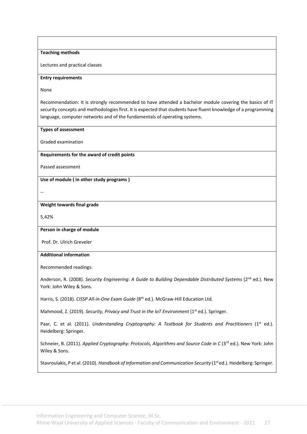#### **Teaching methods**

Lectures and practical classes

#### **Entry requirements**

None

Recommendation: It is strongly recommended to have attended a bachelor module covering the basics of IT security concepts and methodologies first. It is expected that students have fluent knowledge of a programming language, computer networks and of the fundamentals of operating systems.

**Types of assessment**

Graded examination

#### **Requirements for the award of credit points**

Passed assessment

**Use of module ( in other study programs )**

‐‐

#### **Weight towards final grade**

5,42%

#### **Person in charge of module**

Prof. Dr. Ulrich Greveler

#### **Additional information**

Recommended readings:

Anderson, R. (2008). *Security Engineering: A Guide to Building Dependable Distributed Systems* (2nd ed.). New York: John Wiley & Sons.

Harris, S. (2018). *CISSP All‐in‐One Exam Guide* (8th ed.). McGraw‐Hill Education Ltd.

Mahmood, Z. (2019). *Security, Privacy and Trust in the IoT Environment* (1st ed.). Springer.

Paar, C. et al. (2011). *Understanding Cryptography: A Textbook for Students and Practitioners* (1st ed.). Heidelberg: Springer.

Schneier, B. (2011). *Applied Cryptography: Protocols, Algorithms and Source Code in C* (3rd ed.). New York: John Wiley & Sons.

Stavroulakis, P et al. (2010). *Handbook of Information and Communication Security* (1sted.). Heidelberg: Springer.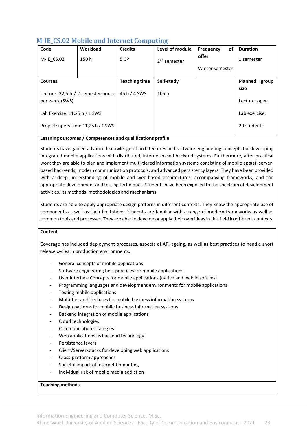# **M‐IE\_CS.02 Mobile and Internet Computing**

| Code                                 | Workload | <b>Credits</b>       | Level of module          | <b>of</b><br>Frequency | <b>Duration</b>  |
|--------------------------------------|----------|----------------------|--------------------------|------------------------|------------------|
| M-IE CS.02                           | 150h     | 5 CP                 | 2 <sup>nd</sup> semester | offer                  | 1 semester       |
|                                      |          |                      |                          | Winter semester        |                  |
| <b>Courses</b>                       |          | <b>Teaching time</b> | Self-study               |                        | Planned<br>group |
| Lecture: 22,5 h / 2 semester hours   |          | 45 h / 4 SWS         | 105h                     |                        | size             |
| per week (SWS)                       |          |                      |                          |                        | Lecture: open    |
| Lab Exercise: $11,25$ h $/$ 1 SWS    |          |                      |                          |                        | Lab exercise:    |
| Project supervision: 11,25 h / 1 SWS |          |                      |                          |                        | 20 students      |
|                                      |          |                      |                          |                        |                  |

# **Learning outcomes / Competences and qualifications profile**

Students have gained advanced knowledge of architectures and software engineering concepts for developing integrated mobile applications with distributed, internet‐based backend systems. Furthermore, after practical work they are able to plan and implement multi-tiered information systems consisting of mobile app(s), serverbased back‐ends, modern communication protocols, and advanced persistency layers. They have been provided with a deep understanding of mobile and web-based architectures, accompanying frameworks, and the appropriate development and testing techniques. Students have been exposed to the spectrum of development activities, its methods, methodologies and mechanisms.

Students are able to apply appropriate design patterns in different contexts. They know the appropriate use of components as well as their limitations. Students are familiar with a range of modern frameworks as well as common tools and processes. They are able to develop or apply their own ideas in thisfield in different contexts.

#### **Content**

Coverage has included deployment processes, aspects of API‐ageing, as well as best practices to handle short release cycles in production environments.

- ‐ General concepts of mobile applications
- Software engineering best practices for mobile applications
- User Interface Concepts for mobile applications (native and web interfaces)
- ‐ Programming languages and development environments for mobile applications
- ‐ Testing mobile applications
- ‐ Multi‐tier architectures for mobile business information systems
- ‐ Design patterns for mobile business information systems
- ‐ Backend integration of mobile applications
- ‐ Cloud technologies
- ‐ Communication strategies
- Web applications as backend technology
- ‐ Persistence layers
- ‐ Client/Server‐stacks for developing web applications
- ‐ Cross‐platform approaches
- ‐ Societal impact of Internet Computing
- ‐ Individual risk of mobile media addiction

#### **Teaching methods**

Information Engineering and Computer Science, M.Sc. Rhine‐Waal University of Applied Sciences ‐ Faculty of Communication and Environment ‐ 2021 28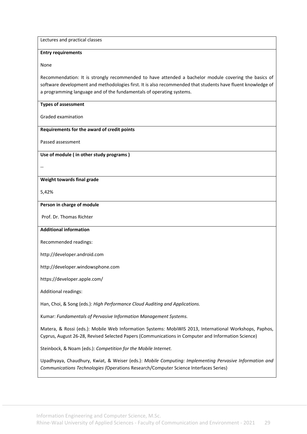Lectures and practical classes

#### **Entry requirements**

None

Recommendation: It is strongly recommended to have attended a bachelor module covering the basics of software development and methodologies first. It is also recommended that students have fluent knowledge of a programming language and of the fundamentals of operating systems.

#### **Types of assessment**

Graded examination

#### **Requirements for the award of credit points**

Passed assessment

**Use of module ( in other study programs )**

‐‐

### **Weight towards final grade**

5,42%

### **Person in charge of module**

Prof. Dr. Thomas Richter

#### **Additional information**

Recommended readings:

http://developer.android.com

http://developer.windowsphone.com

https://developer.apple.com/

Additional readings:

Han, Choi, & Song (eds.): *High Performance Cloud Auditing and Applications.*

Kumar: *Fundamentals of Pervasive Information Management Systems.*

Matera, & Rossi (eds.): Mobile Web Information Systems: MobiWIS 2013, International Workshops, Paphos, Cyprus, August 26‐28, Revised Selected Papers (Communications in Computer and Information Science)

Steinbock, & Noam (eds.): *Competition for the Mobile Internet.*

Upadhyaya, Chaudhury, Kwiat, & Weiser (eds.): *Mobile Computing: Implementing Pervasive Information and Communications Technologies (*Operations Research/Computer Science Interfaces Series)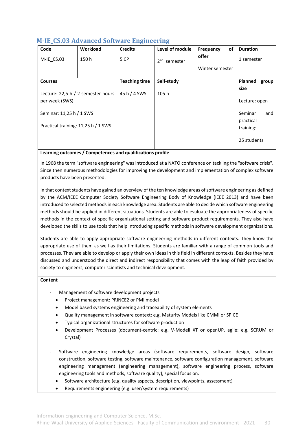|                                     |                                    |                      | $\sim$                   |                 |                             |
|-------------------------------------|------------------------------------|----------------------|--------------------------|-----------------|-----------------------------|
| Code                                | Workload                           | <b>Credits</b>       | Level of module          | of<br>Frequency | <b>Duration</b>             |
| M-IE CS.03                          | 150 h                              | 5 CP                 | 2 <sup>nd</sup> semester | offer           | 1 semester                  |
|                                     |                                    |                      |                          | Winter semester |                             |
|                                     |                                    |                      |                          |                 |                             |
| <b>Courses</b>                      |                                    | <b>Teaching time</b> | Self-study               |                 | Planned<br>group            |
|                                     | Lecture: 22,5 h / 2 semester hours |                      | 105h                     |                 | size                        |
| per week (SWS)                      |                                    |                      |                          |                 | Lecture: open               |
| Seminar: 11,25 h / 1 SWS            |                                    |                      |                          |                 | Seminar<br>and<br>practical |
| Practical training: 11,25 h / 1 SWS |                                    |                      |                          |                 | training:                   |
|                                     |                                    |                      |                          |                 | 25 students                 |

# **M‐IE\_CS.03 Advanced Software Engineering**

## **Learning outcomes / Competences and qualifications profile**

In 1968 the term "software engineering" was introduced at a NATO conference on tackling the "software crisis". Since then numerous methodologies for improving the development and implementation of complex software products have been presented.

In that context students have gained an overview of the ten knowledge areas of software engineering as defined by the ACM/IEEE Computer Society Software Engineering Body of Knowledge (IEEE 2013) and have been introduced to selected methodsin each knowledge area. Students are able to decide which software engineering methods should be applied in different situations. Students are able to evaluate the appropriateness of specific methods in the context of specific organizational setting and software product requirements. They also have developed the skills to use tools that help introducing specific methods in software development organizations.

Students are able to apply appropriate software engineering methods in different contexts. They know the appropriate use of them as well as their limitations. Students are familiar with a range of common tools and processes. They are able to develop or apply their own ideas in this field in different contexts. Besides they have discussed and understood the direct and indirect responsibility that comes with the leap of faith provided by society to engineers, computer scientists and technical development.

# **Content**

- ‐ Management of software development projects
- Project management: PRINCE2 or PMI model
- Model based systems engineering and traceability of system elements
- Quality management in software context: e.g. Maturity Models like CMMI or SPICE
- Typical organizational structures for software production
- Development Processes (document‐centric: e.g. V‐Modell XT or openUP, agile: e.g. SCRUM or Crystal)
- Software engineering knowledge areas (software requirements, software design, software construction, software testing, software maintenance, software configuration management, software engineering management (engineering management), software engineering process, software engineering tools and methods, software quality), special focus on:
	- Software architecture (e.g. quality aspects, description, viewpoints, assessment)
	- Requirements engineering (e.g. user/system requirements)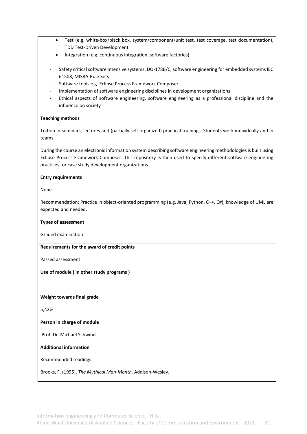| Test (e.g. white-box/black box, system/component/unit test, test coverage, test documentation),                                                                   |
|-------------------------------------------------------------------------------------------------------------------------------------------------------------------|
| TDD Test-Driven Development                                                                                                                                       |
| Integration (e.g. continuous integration, software factories)<br>٠                                                                                                |
| Safety critical software intensive systems: DO-178B/C, software engineering for embedded systems IEC<br>61508, MISRA-Rule Sets                                    |
| Software tools e.g. Eclipse Process Framework Composer<br>$\overline{\phantom{0}}$                                                                                |
| Implementation of software engineering disciplines in development organizations                                                                                   |
| Ethical aspects of software engineering, software engineering as a professional discipline and the<br>influence on society                                        |
| <b>Teaching methods</b>                                                                                                                                           |
| Tuition in seminars, lectures and (partially self-organized) practical trainings. Students work individually and in<br>teams.                                     |
| During the course an electronic information system describing software engineering methodologies is built using                                                   |
| Eclipse Process Framework Composer. This repository is then used to specify different software engineering<br>practices for case study development organizations. |
| <b>Entry requirements</b>                                                                                                                                         |
| None                                                                                                                                                              |
| Recommendation: Practice in object-oriented programming (e.g. Java, Python, C++, C#), knowledge of UML are                                                        |
| expected and needed.                                                                                                                                              |
| <b>Types of assessment</b>                                                                                                                                        |
| Graded examination                                                                                                                                                |
| Requirements for the award of credit points                                                                                                                       |
| Passed assessment                                                                                                                                                 |
| Use of module (in other study programs)                                                                                                                           |
|                                                                                                                                                                   |
|                                                                                                                                                                   |
| Weight towards final grade                                                                                                                                        |
| 5,42%                                                                                                                                                             |
| Person in charge of module                                                                                                                                        |
| Prof. Dr. Michael Schwind                                                                                                                                         |
| <b>Additional information</b>                                                                                                                                     |
| Recommended readings:                                                                                                                                             |
| Brooks, F. (1995). The Mythical Man-Month. Addison-Wesley.                                                                                                        |
|                                                                                                                                                                   |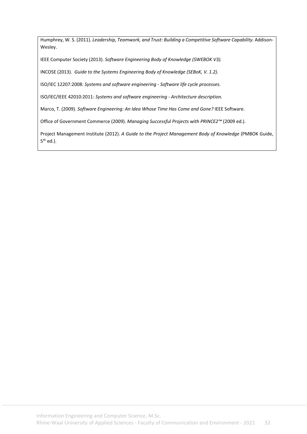Humphrey, W. S. (2011). *Leadership, Teamwork, and Trust: Building a Competitive Software Capability.* Addison‐ Wesley.

IEEE Computer Society (2013). *Software Engineering Body of Knowledge (SWEBOK V3).*

INCOSE (2013). *Guide to the Systems Engineering Body of Knowledge (SEBoK, V. 1.2).*

ISO/IEC 12207:2008: *Systems and software engineering ‐ Software life cycle processes.*

ISO/IEC/IEEE 42010:2011: *Systems and software engineering ‐ Architecture description.*

Marco, T. (2009). *Software Engineering: An Idea Whose Time Has Come and Gone?* IEEE Software.

Office of Government Commerce (2009). *Managing Successful Projects with PRINCE2™* (2009 ed.).

Project Management Institute (2012). *A Guide to the Project Management Body of Knowledge* (PMBOK Guide, 5th ed.).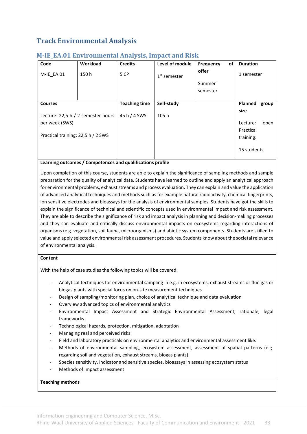# **Track Environmental Analysis**

| Code                               | <b>Workload</b>                    | <b>Credits</b>       | Level of module | of<br>Frequency | <b>Duration</b>  |
|------------------------------------|------------------------------------|----------------------|-----------------|-----------------|------------------|
| M-IE EA.01                         | 150 h                              | 5 CP                 | $1st$ semester  | offer           | 1 semester       |
|                                    |                                    |                      |                 | Summer          |                  |
|                                    |                                    |                      |                 | semester        |                  |
|                                    |                                    |                      |                 |                 |                  |
| <b>Courses</b>                     |                                    | <b>Teaching time</b> | Self-study      |                 | Planned<br>group |
|                                    | Lecture: 22,5 h / 2 semester hours | 45 h / 4 SWS         | 105 h           |                 | size             |
| per week (SWS)                     |                                    |                      |                 |                 | Lecture:<br>open |
|                                    |                                    |                      |                 |                 | Practical        |
| Practical training: 22,5 h / 2 SWS |                                    |                      |                 |                 | training:        |
|                                    |                                    |                      |                 |                 | 15 students      |

# **M‐IE\_EA.01 Environmental Analysis, Impact and Risk**

**Learning outcomes / Competences and qualifications profile**

Upon completion of this course, students are able to explain the significance of sampling methods and sample preparation for the quality of analytical data. Students have learned to outline and apply an analytical approach for environmental problems, exhaust streams and process evaluation. They can explain and value the application of advanced analytical techniques and methods such as for example natural radioactivity, chemical fingerprints, ion sensitive electrodes and bioassays for the analysis of environmental samples. Students have got the skills to explain the significance of technical and scientific concepts used in environmental impact and risk assessment. They are able to describe the significance of risk and impact analysis in planning and decision-making processes and they can evaluate and critically discuss environmental impacts on ecosystems regarding interactions of organisms (e.g. vegetation, soil fauna, microorganisms) and abiotic system components. Students are skilled to value and apply selected environmental risk assessment procedures. Students know about the societal relevance of environmental analysis.

# **Content**

With the help of case studies the following topics will be covered:

- ‐ Analytical techniques for environmental sampling in e.g. in ecosystems, exhaust streams or flue gas or biogas plants with special focus on on‐site measurement techniques
- ‐ Design of sampling/monitoring plan, choice of analytical technique and data evaluation
- ‐ Overview advanced topics of environmental analytics
- ‐ Environmental Impact Assessment and Strategic Environmental Assessment, rationale, legal frameworks
- ‐ Technological hazards, protection, mitigation, adaptation
- ‐ Managing real and perceived risks
- ‐ Field and laboratory practicals on environmental analytics and environmental assessment like:
- Methods of environmental sampling, ecosystem assessment, assessment of spatial patterns (e.g. regarding soil and vegetation, exhaust streams, biogas plants)
- ‐ Species sensitivity, indicator and sensitive species, bioassays in assessing ecosystem status
- ‐ Methods of impact assessment

# **Teaching methods**

Information Engineering and Computer Science, M.Sc.

Rhine‐Waal University of Applied Sciences ‐ Faculty of Communication and Environment ‐ 2021 33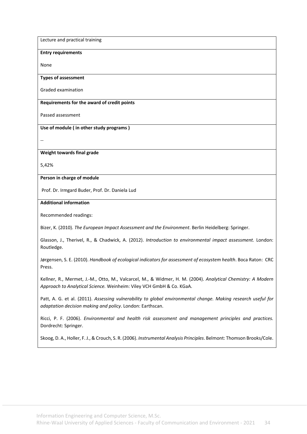Lecture and practical training

#### **Entry requirements**

None

#### **Types of assessment**

Graded examination

#### **Requirements for the award of credit points**

Passed assessment

**Use of module ( in other study programs )**

‐‐

# **Weight towards final grade**

5,42%

#### **Person in charge of module**

Prof. Dr. Irmgard Buder, Prof. Dr. Daniela Lud

#### **Additional information**

Recommended readings:

Bizer, K. (2010). *The European Impact Assessment and the Environment*. Berlin Heidelberg: Springer.

Glasson, J., Therivel, R., & Chadwick, A. (2012). *Introduction to environmental impact assessment.* London: Routledge.

Jørgensen, S. E. (2010). *Handbook of ecological indicators for assessment of ecosystem health*. Boca Raton: CRC Press.

Kellner, R., Mermet, J.‐M., Otto, M., Valcarcel, M., & Widmer, H. M. (2004). *Analytical Chemistry: A Modern Approach to Analytical Science.* Weinheim: Viley VCH GmbH & Co. KGaA.

Patt, A. G. et al. (2011). *Assessing vulnerability to global environmental change. Making research useful for adaptation decision making and policy*. London: Earthscan.

Ricci, P. F. (2006). *Environmental and health risk assessment and management principles and practices.* Dordrecht: Springer.

Skoog, D. A., Holler, F. J., & Crouch, S. R. (2006). *Instrumental Analysis Principles*. Belmont: Thomson Brooks/Cole.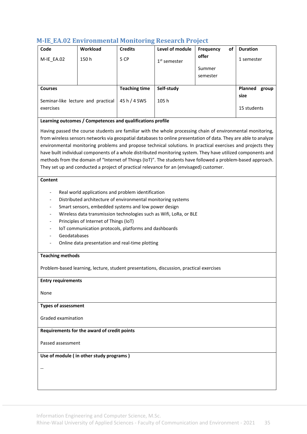|  | <b>M-IE_EA.02 Environmental Monitoring Research Project</b> |  |  |
|--|-------------------------------------------------------------|--|--|
|  |                                                             |  |  |

| Code                                                                    | Workload                                                                                                                                                                                                                                                                                                                                                                                                                                                                                                                                                                                                                                                                 | <b>Credits</b>       | Level of module | Frequency<br>of | <b>Duration</b> |
|-------------------------------------------------------------------------|--------------------------------------------------------------------------------------------------------------------------------------------------------------------------------------------------------------------------------------------------------------------------------------------------------------------------------------------------------------------------------------------------------------------------------------------------------------------------------------------------------------------------------------------------------------------------------------------------------------------------------------------------------------------------|----------------------|-----------------|-----------------|-----------------|
| M-IE_EA.02                                                              | 150h                                                                                                                                                                                                                                                                                                                                                                                                                                                                                                                                                                                                                                                                     | 5 CP                 | $1st$ semester  | offer           | 1 semester      |
|                                                                         |                                                                                                                                                                                                                                                                                                                                                                                                                                                                                                                                                                                                                                                                          |                      |                 | Summer          |                 |
|                                                                         |                                                                                                                                                                                                                                                                                                                                                                                                                                                                                                                                                                                                                                                                          |                      |                 | semester        |                 |
| <b>Courses</b>                                                          |                                                                                                                                                                                                                                                                                                                                                                                                                                                                                                                                                                                                                                                                          | <b>Teaching time</b> | Self-study      |                 | Planned group   |
|                                                                         | Seminar-like lecture and practical                                                                                                                                                                                                                                                                                                                                                                                                                                                                                                                                                                                                                                       | 45 h / 4 SWS         | 105h            |                 | size            |
| exercises                                                               |                                                                                                                                                                                                                                                                                                                                                                                                                                                                                                                                                                                                                                                                          |                      |                 |                 | 15 students     |
|                                                                         | Learning outcomes / Competences and qualifications profile                                                                                                                                                                                                                                                                                                                                                                                                                                                                                                                                                                                                               |                      |                 |                 |                 |
|                                                                         | Having passed the course students are familiar with the whole processing chain of environmental monitoring,<br>from wireless sensors networks via geospatial databases to online presentation of data. They are able to analyze<br>environmental monitoring problems and propose technical solutions. In practical exercises and projects they<br>have built individual components of a whole distributed monitoring system. They have utilized components and<br>methods from the domain of "Internet of Things (IoT)". The students have followed a problem-based approach.<br>They set up and conducted a project of practical relevance for an (envisaged) customer. |                      |                 |                 |                 |
| Content                                                                 |                                                                                                                                                                                                                                                                                                                                                                                                                                                                                                                                                                                                                                                                          |                      |                 |                 |                 |
| $\qquad \qquad \blacksquare$<br>Geodatabases<br><b>Teaching methods</b> | Distributed architecture of environmental monitoring systems<br>Smart sensors, embedded systems and low power design<br>Wireless data transmission technologies such as Wifi, LoRa, or BLE<br>Principles of Internet of Things (IoT)<br>IoT communication protocols, platforms and dashboards<br>Online data presentation and real-time plotting                                                                                                                                                                                                                                                                                                                         |                      |                 |                 |                 |
|                                                                         | Problem-based learning, lecture, student presentations, discussion, practical exercises                                                                                                                                                                                                                                                                                                                                                                                                                                                                                                                                                                                  |                      |                 |                 |                 |
| <b>Entry requirements</b>                                               |                                                                                                                                                                                                                                                                                                                                                                                                                                                                                                                                                                                                                                                                          |                      |                 |                 |                 |
| None                                                                    |                                                                                                                                                                                                                                                                                                                                                                                                                                                                                                                                                                                                                                                                          |                      |                 |                 |                 |
| <b>Types of assessment</b>                                              |                                                                                                                                                                                                                                                                                                                                                                                                                                                                                                                                                                                                                                                                          |                      |                 |                 |                 |
| Graded examination                                                      |                                                                                                                                                                                                                                                                                                                                                                                                                                                                                                                                                                                                                                                                          |                      |                 |                 |                 |
|                                                                         | Requirements for the award of credit points                                                                                                                                                                                                                                                                                                                                                                                                                                                                                                                                                                                                                              |                      |                 |                 |                 |
| Passed assessment                                                       |                                                                                                                                                                                                                                                                                                                                                                                                                                                                                                                                                                                                                                                                          |                      |                 |                 |                 |
|                                                                         | Use of module (in other study programs)                                                                                                                                                                                                                                                                                                                                                                                                                                                                                                                                                                                                                                  |                      |                 |                 |                 |
|                                                                         |                                                                                                                                                                                                                                                                                                                                                                                                                                                                                                                                                                                                                                                                          |                      |                 |                 |                 |
|                                                                         |                                                                                                                                                                                                                                                                                                                                                                                                                                                                                                                                                                                                                                                                          |                      |                 |                 |                 |

Information Engineering and Computer Science, M.Sc. Rhine-Waal University of Applied Sciences - Faculty of Communication and Environment - 2021 35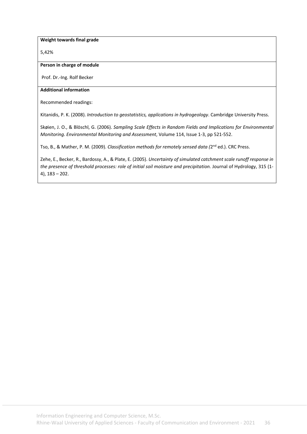**Weight towards final grade**

5,42%

#### **Person in charge of module**

Prof. Dr.‐Ing. Rolf Becker

#### **Additional information**

Recommended readings:

Kitanidis, P. K. (2008). *Introduction to geostatistics, applications in hydrogeology*. Cambridge University Press.

Skøien, J. O., & Blöschl, G. (2006). *Sampling Scale Effects in Random Fields and Implications for Environmental Monitoring. Environmental Monitoring and Assessment*, Volume 114, Issue 1‐3, pp 521‐552.

Tso, B., & Mather, P. M. (2009). *Classification methods for remotely sensed data (*2nd ed.). CRC Press.

Zehe, E., Becker, R., Bardossy, A., & Plate, E. (2005). *Uncertainty of simulated catchment scale runoff response in the presence of threshold processes: role of initial soil moisture and precipitation.* Journal of Hydrology, 315 (1‐ 4), 183 – 202.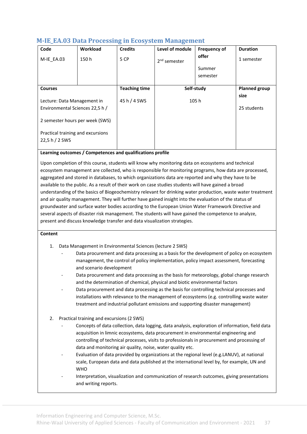| Code                                                | Workload       | <b>Credits</b>       | Level of module          | <b>Frequency of</b> | <b>Duration</b>      |
|-----------------------------------------------------|----------------|----------------------|--------------------------|---------------------|----------------------|
| M-IE_EA.03                                          | 150 h          | 5 CP                 | 2 <sup>nd</sup> semester | offer               | 1 semester           |
|                                                     |                |                      |                          | Summer              |                      |
|                                                     |                |                      |                          | semester            |                      |
|                                                     |                | <b>Teaching time</b> |                          |                     |                      |
|                                                     | <b>Courses</b> |                      | Self-study               |                     | <b>Planned group</b> |
| Lecture: Data Management in                         |                | 45 h / 4 SWS         | 105 h                    |                     | size                 |
| Environmental Sciences 22,5 h /                     |                |                      |                          |                     | 25 students          |
| 2 semester hours per week (SWS)                     |                |                      |                          |                     |                      |
| Practical training and excursions<br>22,5 h / 2 SWS |                |                      |                          |                     |                      |

# **M‐IE\_EA.03 Data Processing in Ecosystem Management**

# **Learning outcomes / Competences and qualifications profile**

Upon completion of this course, students will know why monitoring data on ecosystems and technical ecosystem management are collected, who is responsible for monitoring programs, how data are processed, aggregated and stored in databases, to which organizations data are reported and why they have to be available to the public. As a result of their work on case studies students will have gained a broad understanding of the basics of Biogeochemistry relevant for drinking water production, waste water treatment and air quality management. They will further have gained insight into the evaluation of the status of groundwater and surface water bodies according to the European Union Water Framework Directive and several aspects of disaster risk management. The students will have gained the competence to analyze, present and discuss knowledge transfer and data visualization strategies.

# **Content**

- 1. Data Management in Environmental Sciences (lecture 2 SWS)
	- Data procurement and data processing as a basis for the development of policy on ecosystem management, the control of policy implementation, policy impact assessment, forecasting and scenario development
	- Data procurement and data processing as the basis for meteorology, global change research and the determination of chemical, physical and biotic environmental factors
	- ‐ Data procurement and data processing as the basis for controlling technical processes and installations with relevance to the management of ecosystems (e.g. controlling waste water treatment and industrial pollutant emissions and supporting disaster management)
- 2. Practical training and excursions (2 SWS)
	- ‐ Concepts of data collection, data logging, data analysis, exploration of information, field data acquisition in limnic ecosystems, data procurement in environmental engineering and controlling of technical processes, visits to professionals in procurement and processing of data and monitoring air quality, noise, water quality etc.
	- Evaluation of data provided by organizations at the regional level (e.g. LANUV), at national scale, European data and data published at the international level by, for example, UN and **WHO**
	- ‐ Interpretation, visualization and communication of research outcomes, giving presentations and writing reports.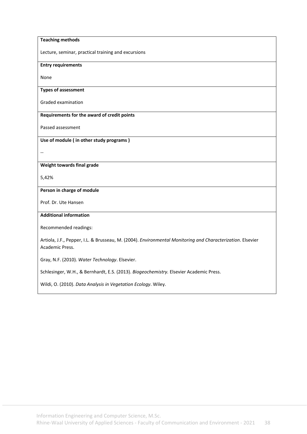# **Teaching methods**

Lecture, seminar, practical training and excursions

#### **Entry requirements**

None

#### **Types of assessment**

Graded examination

#### **Requirements for the award of credit points**

Passed assessment

## **Use of module ( in other study programs )**

**Weight towards final grade**

5,42%

‐‐

# **Person in charge of module**

Prof. Dr. Ute Hansen

### **Additional information**

Recommended readings:

Artiola, J.F., Pepper, I.L. & Brusseau, M. (2004). *Environmental Monitoring and Characterization*. Elsevier Academic Press.

Gray, N.F. (2010). *Water Technology*. Elsevier.

Schlesinger, W.H., & Bernhardt, E.S. (2013). *Biogeochemistry.* Elsevier Academic Press.

Wildi, O. (2010). *Data Analysis in Vegetation Ecology*. Wiley.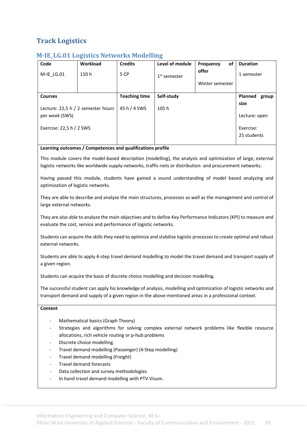# **Track Logistics**

| Code                       | Workload                           | <b>Credits</b>       | Level of module | Frequency       | οf | <b>Duration</b>          |
|----------------------------|------------------------------------|----------------------|-----------------|-----------------|----|--------------------------|
| M-IE LG.01                 | 150h                               | 5 CP                 | $1st$ semester  | offer           |    | 1 semester               |
|                            |                                    |                      |                 | Winter semester |    |                          |
| <b>Courses</b>             |                                    | <b>Teaching time</b> | Self-study      |                 |    | Planned<br>group         |
|                            | Lecture: 22,5 h / 2 semester hours | 45 h / 4 SWS         | 105h            |                 |    | size                     |
| per week (SWS)             |                                    |                      |                 |                 |    | Lecture: open            |
| Exercise: $22,5 h / 2$ SWS |                                    |                      |                 |                 |    | Exercise:<br>25 students |

# **M‐IE\_LG.01 Logistics Networks Modelling**

## **Learning outcomes / Competences and qualifications profile**

This module covers the model‐based description (modelling), the analysis and optimization of large, external logistic networks like worldwide supply‐networks, traffic‐nets or distribution‐ and procurement networks.

Having passed this module, students have gained a sound understanding of model based analyzing and optimization of logistic networks.

They are able to describe and analyze the main structures, processes as well as the management and control of large external networks.

They are also able to analyze the main objectives and to define Key Performance Indicators (KPI) to measure and evaluate the cost, service and performance of logistic networks.

Students can acquire the skills they need to optimize and stabilize logistic processes to create optimal and robust external networks.

Students are able to apply 4‐step travel demand modelling to model the travel demand and transport supply of a given region.

Students can acquire the basis of discrete choice modelling and decision modelling.

The successful student can apply his knowledge of analysis, modelling and optimization of logistic networks and transport demand and supply of a given region in the above‐mentioned areas in a professional context.

# **Content**

- ‐ Mathematical basics (Graph Theory)
- ‐ Strategies and algorithms for solving complex external network problems like flexible resource allocations, rich vehicle routing or p‐hub problems
- Discrete choice modelling.
- ‐ Travel demand modelling (Passenger) (4‐Step modelling)
- ‐ Travel demand modelling (Freight)
- ‐ Travel demand forecasts
- ‐ Data collection and survey methodologies
- ‐ In hand travel demand modelling with PTV Visum.

Information Engineering and Computer Science, M.Sc. Rhine-Waal University of Applied Sciences - Faculty of Communication and Environment - 2021 39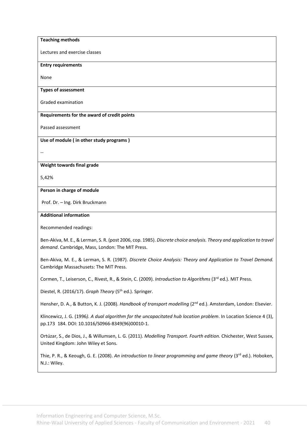# **Teaching methods**

Lectures and exercise classes

### **Entry requirements**

None

#### **Types of assessment**

Graded examination

## **Requirements for the award of credit points**

Passed assessment

## **Use of module ( in other study programs )**

**Weight towards final grade**

5,42%

‐‐

## **Person in charge of module**

Prof. Dr. – Ing. Dirk Bruckmann

## **Additional information**

Recommended readings:

Ben‐Akiva, M. E., & Lerman, S. R. (post 2006, cop. 1985). *Discrete choice analysis. Theory and application to travel demand*. Cambridge, Mass, London: The MIT Press.

Ben‐Akiva, M. E., & Lerman, S. R. (1987). *Discrete Choice Analysis: Theory and Application to Travel Demand.* Cambridge Massachusets: The MIT Press.

Cormen, T., Leiserson, C., Rivest, R., & Stein, C. (2009). *Introduction to Algorithms* (3rd ed.). MIT Press.

Diestel, R. (2016/17). *Graph Theory* (5th ed.). Springer.

Hensher, D. A., & Button, K. J. (2008). *Handbook of transport modelling* (2nd ed.). Amsterdam, London: Elsevier.

Klincewicz, J. G. (1996*). A dual algorithm for the uncapacitated hub location problem*. In Location Science 4 (3), pp.173 184. DOI: 10.1016/S0966-8349(96)00010-1.

Ortúzar, S., de Dios, J., & Willumsen, L. G. (2011). *Modelling Transport. Fourth edition.* Chichester, West Sussex, United Kingdom: John Wiley et Sons.

Thie, P. R., & Keough, G. E. (2008). *An introduction to linear programming and game theory* (3rd ed.). Hoboken, N.J.: Wiley.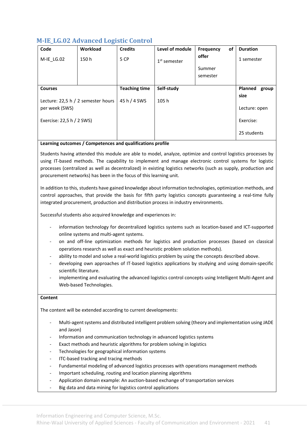# **M‐IE\_LG.02 Advanced Logistic Control**

| Code                               | <b>Workload</b> | <b>Credits</b>       | Level of module | of<br>Frequency | <b>Duration</b>         |
|------------------------------------|-----------------|----------------------|-----------------|-----------------|-------------------------|
| M-IE LG.02                         | 150 h           | 5 CP                 | $1st$ semester  | offer           | 1 semester              |
|                                    |                 |                      |                 | Summer          |                         |
|                                    |                 |                      |                 | semester        |                         |
|                                    |                 |                      |                 |                 |                         |
| <b>Courses</b>                     |                 | <b>Teaching time</b> | Self-study      |                 | <b>Planned</b><br>group |
| Lecture: 22,5 h / 2 semester hours |                 | 45 h / 4 SWS         | 105h            |                 | size                    |
| per week (SWS)                     |                 |                      |                 |                 | Lecture: open           |
| Exercise: 22,5 h / 2 SWS)          |                 |                      |                 |                 | Exercise:               |
|                                    |                 |                      |                 |                 | 25 students             |

# **Learning outcomes / Competences and qualifications profile**

Students having attended this module are able to model, analyze, optimize and control logistics processes by using IT‐based methods. The capability to implement and manage electronic control systems for logistic processes (centralized as well as decentralized) in existing logistics networks (such as supply, production and procurement networks) has been in the focus of this learning unit.

In addition to this, students have gained knowledge about information technologies, optimization methods, and control approaches, that provide the basis for fifth party logistics concepts guaranteeing a real‐time fully integrated procurement, production and distribution process in industry environments.

Successful students also acquired knowledge and experiences in:

- information technology for decentralized logistics systems such as location-based and ICT-supported online systems and multi‐agent systems.
- ‐ on and off‐line optimization methods for logistics and production processes (based on classical operations research as well as exact and heuristic problem solution methods).
- ability to model and solve a real-world logistics problem by using the concepts described above.
- ‐ developing own approaches of IT‐based logistics applications by studying and using domain‐specific scientific literature.
- implementing and evaluating the advanced logistics control concepts using Intelligent Multi-Agent and Web‐based Technologies.

# **Content**

The content will be extended according to current developments:

- Multi-agent systems and distributed intelligent problem solving (theory and implementation using JADE and Jason)
- ‐ Information and communication technology in advanced logistics systems
- ‐ Exact methods and heuristic algorithms for problem solving in logistics
- Technologies for geographical information systems
- ‐ ITC‐based tracking and tracing methods
- ‐ Fundamental modeling of advanced logistics processes with operations management methods
- ‐ Important scheduling, routing and location planning algorithms
- ‐ Application domain example: An auction‐based exchange of transportation services
- Big data and data mining for logistics control applications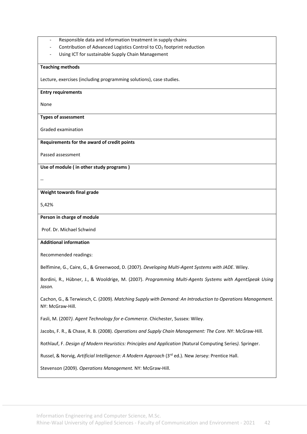- ‐ Responsible data and information treatment in supply chains
- Contribution of Advanced Logistics Control to CO<sub>2</sub> footprint reduction
- ‐ Using ICT for sustainable Supply Chain Management

### **Teaching methods**

Lecture, exercises (including programming solutions), case studies.

#### **Entry requirements**

None

# **Types of assessment**

Graded examination

#### **Requirements for the award of credit points**

Passed assessment

# **Use of module ( in other study programs )**

#### **Weight towards final grade**

5,42%

‐‐

#### **Person in charge of module**

Prof. Dr. Michael Schwind

#### **Additional information**

Recommended readings:

Belfimine, G., Caire, G., & Greenwood, D. (2007). *Developing Multi‐Agent Systems with JADE*. Wiley.

Bordini, R., Hübner, J., & Wooldrige, M. (2007). *Programming Multi‐Agents Systems with AgentSpeak Using Jason.*

Cachon, G., & Terwiesch, C. (2009). *Matching Supply with Demand: An Introduction to Operations Management.* NY: McGraw‐Hill.

Fasli, M. (2007*). Agent Technology for e‐Commerce*. Chichester, Sussex: Wiley.

Jacobs, F. R., & Chase, R. B. (2008). *Operations and Supply Chain Management: The Core*. NY: McGraw‐Hill.

Rothlauf, F. *Design of Modern Heuristics: Principles and Application* (Natural Computing Series*).* Springer.

Russel, & Norvig, *Artificial Intelligence: A Modern Approach* (3rd ed.). New Jersey: Prentice Hall.

Stevenson (2009). *Operations Management.* NY: McGraw‐Hill.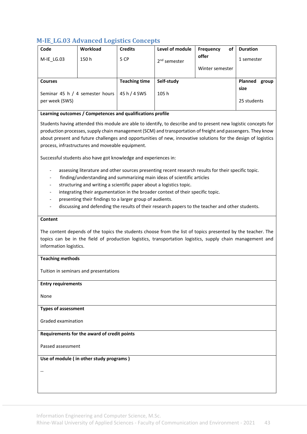# **M‐IE\_LG.03 Advanced Logistics Concepts**

| Code                                                | <b>Workload</b> | <b>Credits</b>       | Level of module          | оf<br><b>Frequency</b> | <b>Duration</b>     |
|-----------------------------------------------------|-----------------|----------------------|--------------------------|------------------------|---------------------|
| M-IE LG.03                                          | 150h            | 5 CP                 | 2 <sup>nd</sup> semester | offer                  | 1 semester          |
|                                                     |                 |                      |                          | Winter semester        |                     |
| <b>Courses</b>                                      |                 | <b>Teaching time</b> | Self-study               |                        | Planned<br>group    |
| Seminar 45 h $/$ 4 semester hours<br>per week (SWS) |                 | 45 h / 4 SWS         | 105h                     |                        | size<br>25 students |

# **Learning outcomes / Competences and qualifications profile**

Students having attended this module are able to identify, to describe and to present new logistic concepts for production processes, supply chain management (SCM) and transportation of freight and passengers. They know about present and future challenges and opportunities of new, innovative solutions for the design of logistics process, infrastructures and moveable equipment.

Successful students also have got knowledge and experiences in:

- ‐ assessing literature and other sources presenting recent research results for their specific topic.
- ‐ finding/understanding and summarizing main ideas of scientific articles
- structuring and writing a scientific paper about a logistics topic.
- integrating their argumentation in the broader context of their specific topic.
- presenting their findings to a larger group of audients.
- ‐ discussing and defending the results of their research papers to the teacher and other students.

### **Content**

The content depends of the topics the students choose from the list of topics presented by the teacher. The topics can be in the field of production logistics, transportation logistics, supply chain management and information logistics.

#### **Teaching methods**

Tuition in seminars and presentations

#### **Entry requirements**

None

# **Types of assessment**

Graded examination

#### **Requirements for the award of credit points**

Passed assessment

# **Use of module ( in other study programs )**

‐‐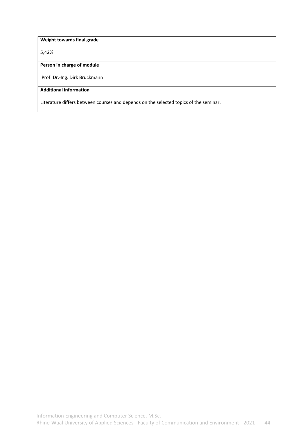**Weight towards final grade**

5,42%

# **Person in charge of module**

Prof. Dr.‐Ing. Dirk Bruckmann

# **Additional information**

Literature differs between courses and depends on the selected topics of the seminar.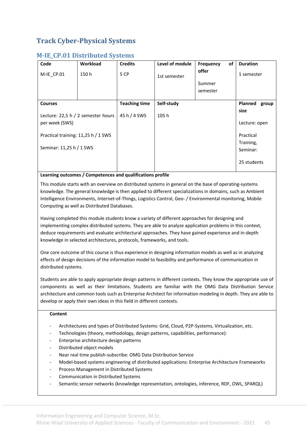# **Track Cyber‐Physical Systems**

| Code                                | Workload       | <b>Credits</b>       | Level of module | of<br><b>Frequency</b> | <b>Duration</b>  |
|-------------------------------------|----------------|----------------------|-----------------|------------------------|------------------|
| M-IE CP.01                          | 150 h          | 5 CP                 | 1st semester    | offer                  | 1 semester       |
|                                     |                |                      |                 | Summer                 |                  |
|                                     |                |                      |                 | semester               |                  |
|                                     |                | <b>Teaching time</b> |                 |                        |                  |
|                                     | <b>Courses</b> |                      | Self-study      |                        | Planned<br>group |
| Lecture: 22,5 h / 2 semester hours  |                | 45 h / 4 SWS         | 105h            |                        | size             |
| per week (SWS)                      |                |                      |                 |                        | Lecture: open    |
| Practical training: 11,25 h / 1 SWS |                |                      |                 |                        | Practical        |
|                                     |                |                      |                 |                        | Training,        |
| Seminar: 11,25 h / 1 SWS            |                |                      |                 |                        | Seminar:         |
|                                     |                |                      |                 |                        | 25 students      |

# **M‐IE\_CP.01 Distributed Systems**

# **Learning outcomes / Competences and qualifications profile**

This module starts with an overview on distributed systems in general on the base of operating‐systems knowledge. The general knowledge is then applied to different specializations in domains, such as Ambient Intelligence Environments, Internet‐of‐Things, Logistics Control, Geo‐ / Environmental monitoring, Mobile Computing as well as Distributed Databases.

Having completed this module students know a variety of different approaches for designing and implementing complex distributed systems. They are able to analyze application problems in this context, deduce requirements and evaluate architectural approaches. They have gained experience and in‐depth knowledge in selected architectures, protocols, frameworks, and tools.

One core outcome of this course is thus experience in designing information models as well as in analyzing effects of design decisions of the information model to feasibility and performance of communication in distributed systems.

Students are able to apply appropriate design patterns in different contexts. They know the appropriate use of components as well as their limitations. Students are familiar with the OMG Data Distribution Service architecture and common tools such as Enterprise Architect for information modeling in depth. They are able to develop or apply their own ideas in this field in different contexts.

#### **Content**

- ‐ Architectures and types of Distributed Systems: Grid, Cloud, P2P‐Systems, Virtualization, etc.
- ‐ Technologies (theory, methodology, design patterns, capabilities, performance):
- ‐ Enterprise architecture design patterns
- ‐ Distributed object models
- ‐ Near real time publish‐subscribe: OMG Data Distribution Service
- ‐ Model‐based systems engineering of distributed applications: Enterprise Architecture Frameworks
- ‐ Process Management in Distributed Systems
- ‐ Communication in Distributed Systems
- ‐ Semantic sensor networks (knowledge representation, ontologies, inference, RDF, OWL, SPARQL)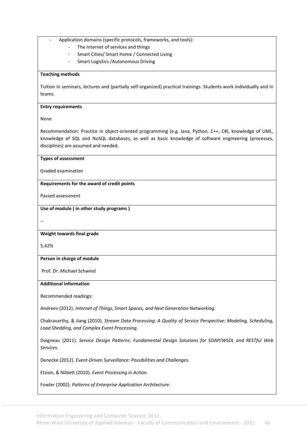‐ Application domains (specific protocols, frameworks, and tools):

- ‐ The Internet of services and things
- ‐ Smart Cities/ Smart Home / Connected Living
- ‐ Smart Logistics /Autonomous Driving

#### **Teaching methods**

Tuition in seminars, lectures and (partially self‐organized) practical trainings. Students work individually and in teams.

#### **Entry requirements**

None

Recommendation: Practice in object-oriented programming (e.g. Java, Python, C++, C#), knowledge of UML, knowledge of SQL and NoSQL databases, as well as basic knowledge of software engineering (processes, disciplines) are assumed and needed.

#### **Types of assessment**

Graded examination

#### **Requirements for the award of credit points**

Passed assessment

**Use of module ( in other study programs )**

# **Weight towards final grade**

5,42%

‐‐

#### **Person in charge of module**

Prof. Dr. Michael Schwind

#### **Additional information**

Recommended readings:

Andreev (2012). *Internet of Things, Smart Spaces, and Next Generation Networking.*

Chakravarthy, & Jiang (2010). *Stream Data Processing: A Quality of Service Perspective: Modeling, Scheduling, Load Shedding, and Complex Event Processing.*

Daigneau (2011). *Service Design Patterns: Fundamental Design Solutions for SOAP/WSDL and RESTful Web Services.*

Denecke (2012). *Event‐Driven Surveillance: Possibilities and Challenges.*

Etzion, & Niblett (2010). *Event Processing in Action.*

Fowler (2002). *Patterns of Enterprise Application Architecture.*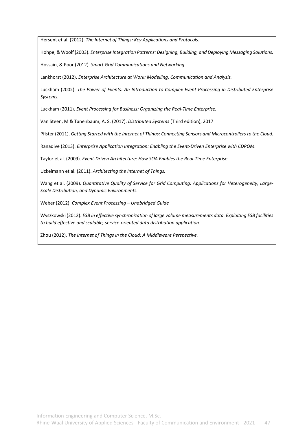Hersent et al. (2012). *The Internet of Things: Key Applications and Protocols*.

Hohpe, & Woolf (2003). *Enterprise Integration Patterns: Designing, Building, and Deploying Messaging Solutions.*

Hossain, & Poor (2012). *Smart Grid Communications and Networking.*

Lankhorst (2012). *Enterprise Architecture at Work: Modelling, Communication and Analysis.*

Luckham (2002). *The Power of Events: An Introduction to Complex Event Processing in Distributed Enterprise Systems.*

Luckham (2011). *Event Processing for Business: Organizing the Real‐Time Enterprise.*

Van Steen, M & Tanenbaum, A. S. (2017). *Distributed Systems* (Third edition), 2017

Pfister (2011). *Getting Started with the Internet of Things: Connecting Sensors and Microcontrollers to the Cloud.*

Ranadive (2013). *Enterprise Application Integration: Enabling the Event‐Driven Enterprise with CDROM.*

Taylor et al. (2009). *Event‐Driven Architecture: How SOA Enables the Real‐Time Enterprise*.

Uckelmann et al. (2011). *Architecting the Internet of Things.*

Wang et al. (2009). *Quantitative Quality of Service for Grid Computing: Applications for Heterogeneity, Large‐ Scale Distribution, and Dynamic Environments.*

Weber (2012). *Complex Event Processing – Unabridged Guide* 

Wyszkowski (2012). *ESB in effective synchronization of large volume measurements data: Exploiting ESB facilities to build effective and scalable, service‐oriented data distribution application.*

Zhou (2012). *The Internet of Things in the Cloud: A Middleware Perspective.*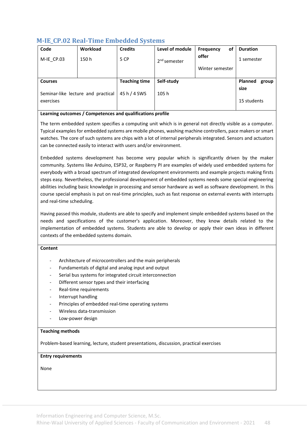# **M‐IE\_CP.02 Real‐Time Embedded Systems**

| Code                                            | <b>Workload</b> | <b>Credits</b>       | Level of module          | οf<br><b>Frequency</b> | <b>Duration</b>     |
|-------------------------------------------------|-----------------|----------------------|--------------------------|------------------------|---------------------|
| M-IE CP.03                                      | 150h            | 5 CP                 | 2 <sup>nd</sup> semester | offer                  | 1 semester          |
|                                                 |                 |                      |                          | Winter semester        |                     |
| <b>Courses</b>                                  |                 | <b>Teaching time</b> | Self-study               |                        | Planned<br>group    |
| Seminar-like lecture and practical<br>exercises |                 | 45 h / 4 SWS         | 105h                     |                        | size<br>15 students |

# **Learning outcomes / Competences and qualifications profile**

The term embedded system specifies a computing unit which is in general not directly visible as a computer. Typical examples for embedded systems are mobile phones, washing machine controllers, pace makers or smart watches. The core of such systems are chips with a lot of internal peripherals integrated. Sensors and actuators can be connected easily to interact with users and/or environment.

Embedded systems development has become very popular which is significantly driven by the maker community. Systems like Arduino, ESP32, or Raspberry PI are examples of widely used embedded systems for everybody with a broad spectrum of integrated development environments and example projects making firsts steps easy. Nevertheless, the professional development of embedded systems needs some special engineering abilities including basic knowledge in processing and sensor hardware as well as software development. In this course special emphasis is put on real‐time principles, such as fast response on external events with interrupts and real-time scheduling.

Having passed this module, students are able to specify and implement simple embedded systems based on the needs and specifications of the customer's application. Moreover, they know details related to the implementation of embedded systems. Students are able to develop or apply their own ideas in different contexts of the embedded systems domain.

# **Content**

- ‐ Architecture of microcontrollers and the main peripherals
- ‐ Fundamentals of digital and analog input and output
- Serial bus systems for integrated circuit interconnection
- ‐ Different sensor types and their interfacing
- ‐ Real‐time requirements
- ‐ Interrupt handling
- ‐ Principles of embedded real‐time operating systems
- ‐ Wireless data‐transmission
- ‐ Low‐power design

# **Teaching methods**

Problem‐based learning, lecture, student presentations, discussion, practical exercises

# **Entry requirements**

None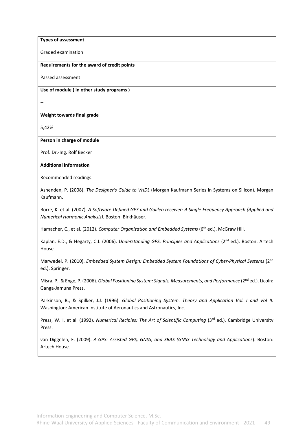#### **Types of assessment**

Graded examination

#### **Requirements for the award of credit points**

Passed assessment

**Use of module ( in other study programs )**

‐‐

**Weight towards final grade**

5,42%

#### **Person in charge of module**

Prof. Dr.‐Ing. Rolf Becker

#### **Additional information**

Recommended readings:

Ashenden, P. (2008). *The Designer's Guide to VHDL* (Morgan Kaufmann Series in Systems on Silicon). Morgan Kaufmann.

Borre, K. et al. (2007). *A Software‐Defined GPS and Galileo receiver: A Single Frequency Approach (Applied and Numerical Harmonic Analysis).* Boston: Birkhäuser.

Hamacher, C., et al. (2012). *Computer Organization and Embedded Systems* (6th ed.). McGraw Hill.

Kaplan, E.D., & Hegarty, C.J. (2006). *Understanding GPS: Principles and Applications* (2nd ed.). Boston: Artech House.

Marwedel, P. (2010). *Embedded System Design: Embedded System Foundations of Cyber‐Physical Systems* (2nd ed.). Springer.

Misra, P., &Enge, P. (2006). *Global Positioning System: Signals, Measurements, and Performance* (2nd ed.). Licoln: Ganga‐Jamuna Press.

Parkinson, B., & Spilker, J.J. (1996). *Global Positioning System: Theory and Application Vol. I and Vol II.* Washington: American Institute of Aeronautics and Astronautics, Inc.

Press, W.H. et al. (1992). *Numerical Recipies: The Art of Scientific Computing* (3rd ed.). Cambridge University Press.

van Diggelen, F. (2009). *A‐GPS: Assisted GPS, GNSS, and SBAS (GNSS Technology and Applications*). Boston: Artech House.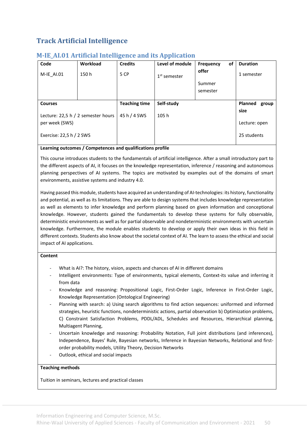# **Track Artificial Intelligence**

| Code                               | Workload | <b>Credits</b>       | Level of module | of<br>Frequency | <b>Duration</b>         |
|------------------------------------|----------|----------------------|-----------------|-----------------|-------------------------|
| M-IE_AI.01                         | 150 h    | 5 CP                 | $1st$ semester  | offer           | 1 semester              |
|                                    |          |                      |                 | Summer          |                         |
|                                    |          |                      |                 | semester        |                         |
|                                    |          |                      |                 |                 |                         |
| <b>Courses</b>                     |          | <b>Teaching time</b> | Self-study      |                 | <b>Planned</b><br>group |
| Lecture: 22,5 h / 2 semester hours |          | 45 h / 4 SWS         | 105h            |                 | size                    |
| per week (SWS)                     |          |                      |                 |                 | Lecture: open           |
| Exercise: 22,5 h / 2 SWS           |          |                      |                 |                 | 25 students             |
|                                    |          |                      |                 |                 |                         |

# **M‐IE\_AI.01 Artificial Intelligence and its Application**

**Learning outcomes / Competences and qualifications profile**

This course introduces students to the fundamentals of artificial intelligence. After a small introductory part to the different aspects of AI, it focuses on the knowledge representation, inference / reasoning and autonomous planning perspectives of AI systems. The topics are motivated by examples out of the domains of smart environments, assistive systems and industry 4.0.

Having passed this module, students have acquired an understanding of AI-technologies: its history, functionality and potential, as well as its limitations. They are able to design systems that includes knowledge representation as well as elements to infer knowledge and perform planning based on given information and conceptional knowledge. However, students gained the fundamentals to develop these systems for fully observable, deterministic environments as well as for partial observable and nondeterministic environments with uncertain knowledge. Furthermore, the module enables students to develop or apply their own ideas in this field in different contexts. Students also know about the societal context of AI. The learn to assess the ethical and social impact of AI applications.

# **Content**

- What is AI?: The history, vision, aspects and chances of AI in different domains
- Intelligent environments: Type of environments, typical elements, Context-its value and inferring it from data
- ‐ Knowledge and reasoning: Propositional Logic, First‐Order Logic, Inference in First‐Order Logic, Knowledge Representation (Ontological Engineering)
- ‐ Planning with search: a) Using search algorithms to find action sequences: uniformed and informed strategies, heuristic functions, nondeterministic actions, partial observation b) Optimization problems, C) Constraint Satisfaction Problems, PDDL/ADL, Schedules and Resources, Hierarchical planning, Multiagent Planning,
- Uncertain knowledge and reasoning: Probability Notation, Full joint distributions (and inferences), Independence, Bayes' Rule, Bayesian networks, Inference in Bayesian Networks, Relational and first‐ order probability models, Utility Theory, Decision Networks
- ‐ Outlook, ethical and social impacts

# **Teaching methods**

Tuition in seminars, lectures and practical classes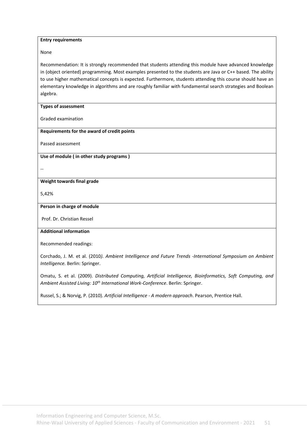#### **Entry requirements**

None

Recommendation: It is strongly recommended that students attending this module have advanced knowledge in (object oriented) programming. Most examples presented to the students are Java or C++ based. The ability to use higher mathematical concepts is expected. Furthermore, students attending this course should have an elementary knowledge in algorithms and are roughly familiar with fundamental search strategies and Boolean algebra.

# **Types of assessment**

Graded examination

## **Requirements for the award of credit points**

Passed assessment

## **Use of module ( in other study programs )**

‐‐

## **Weight towards final grade**

5,42%

## **Person in charge of module**

Prof. Dr. Christian Ressel

#### **Additional information**

Recommended readings:

Corchado, J. M. et al. (2010*). Ambient Intelligence and Future Trends ‐International Symposium on Ambient Intelligence.* Berlin: Springer.

Omatu, S. et al. (2009). *Distributed Computing, Artificial Intelligence, Bioinformatics, Soft Computing, and Ambient Assisted Living: 10th International Work‐Conference*. Berlin: Springer.

Russel, S.; & Norvig, P. (2010). *Artificial Intelligence ‐ A modern approach*. Pearson, Prentice Hall.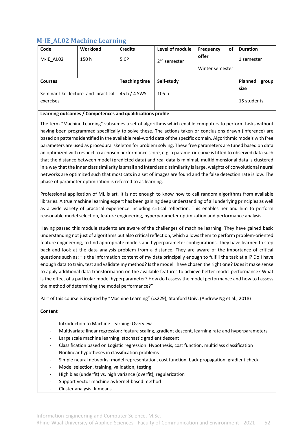# **M‐IE\_AI.02 Machine Learning**

| Code                                            | Workload | <b>Credits</b>       | Level of module          | οf<br>Frequency | <b>Duration</b>     |
|-------------------------------------------------|----------|----------------------|--------------------------|-----------------|---------------------|
| M-IE AI.02                                      | 150h     | 5 CP                 | 2 <sup>nd</sup> semester | offer           | 1 semester          |
|                                                 |          |                      |                          | Winter semester |                     |
| <b>Courses</b>                                  |          | <b>Teaching time</b> | Self-study               |                 | Planned<br>group    |
| Seminar-like lecture and practical<br>exercises |          | 45 h / 4 SWS         | 105h                     |                 | size<br>15 students |

# **Learning outcomes / Competences and qualifications profile**

The term "Machine Learning" subsumes a set of algorithms which enable computers to perform tasks without having been programmed specifically to solve these. The actions taken or conclusions drawn (inference) are based on patterns identified in the available real-world data of the specific domain. Algorithmic models with free parameters are used as procedural skeleton for problem solving. These free parameters are tuned based on data an optimized with respect to a chosen performance score, e.g. a parametric curve is fitted to observed data such that the distance between model (predicted data) and real data is minimal, multidimensional data is clustered in a way that the inner class similarity is small and interclass dissimilarity is large, weights of convolutional neural networks are optimized such that most cats in a set of images are found and the false detection rate is low. The phase of parameter optimization is referred to as learning.

Professional application of ML is art. It is not enough to know how to call random algorithms from available libraries. A true machine learning expert has been gaining deep understanding of all underlying principles as well as a wide variety of practical experience including critical reflection. This enables her and him to perform reasonable model selection, feature engineering, hyperparameter optimization and performance analysis.

Having passed this module students are aware of the challenges of machine learning. They have gained basic understanding not just of algorithms but also critical reflection, which allows them to perform problem‐oriented feature engineering, to find appropriate models and hyperparameter configurations. They have learned to step back and look at the data analysis problem from a distance. They are aware of the importance of critical questions such as: "Is the information content of my data principally enough to fulfill the task at all? Do I have enough data to train, test and validate my method? Is the model I have chosen the right one? Does it make sense to apply additional data transformation on the available features to achieve better model performance? What is the effect of a particular model hyperparameter? How do I assess the model performance and how to I assess the method of determining the model performance?"

Part of this course is inspired by "Machine Learning" (cs229), Stanford Univ. (Andrew Ng et al., 2018)

# **Content**

- ‐ Introduction to Machine Learning: Overview
- ‐ Multivariate linear regression: feature scaling, gradient descent, learning rate and hyperparameters
- Large scale machine learning: stochastic gradient descent
- ‐ Classification based on Logistic regression: Hypothesis, cost function, multiclass classification
- ‐ Nonlinear hypotheses in classification problems
- Simple neural networks: model representation, cost function, back propagation, gradient check
- ‐ Model selection, training, validation, testing
- ‐ High bias (underfit) vs. high variance (overfit), regularization
- ‐ Support vector machine as kernel‐based method
- ‐ Cluster analysis: k‐means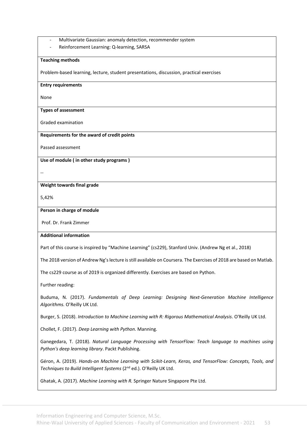- ‐ Multivariate Gaussian: anomaly detection, recommender system
- ‐ Reinforcement Learning: Q‐learning, SARSA

# **Teaching methods**

Problem‐based learning, lecture, student presentations, discussion, practical exercises

#### **Entry requirements**

None

## **Types of assessment**

Graded examination

# **Requirements for the award of credit points**

Passed assessment

**Use of module ( in other study programs )**

‐‐

## **Weight towards final grade**

5,42%

## **Person in charge of module**

Prof. Dr. Frank Zimmer

# **Additional information**

Part of this course is inspired by "Machine Learning" (cs229), Stanford Univ. (Andrew Ng et al., 2018)

The 2018 version of Andrew Ng'slecture isstill available on Coursera. The Exercises of 2018 are based on Matlab.

The cs229 course as of 2019 is organized differently. Exercises are based on Python.

Further reading:

Buduma, N. (2017). *Fundamentals of Deep Learning: Designing Next‐Generation Machine Intelligence Algorithms.* O'Reilly UK Ltd.

Burger, S. (2018). *Introduction to Machine Learning with R: Rigorous Mathematical Analysis*. O'Reilly UK Ltd.

Chollet, F. (2017). *Deep Learning with Python*. Manning.

Ganegedara, T. (2018). *Natural Language Processing with TensorFlow: Teach language to machines using Python's deep learning library*. Packt Publishing.

Géron, A. (2019). *Hands‐on Machine Learning with Scikit‐Learn, Keras, and TensorFlow: Concepts, Tools, and Techniques to Build Intelligent Systems* (2nd ed.). O'Reilly UK Ltd.

Ghatak, A. (2017). *Machine Learning with R.* Springer Nature Singapore Pte Ltd.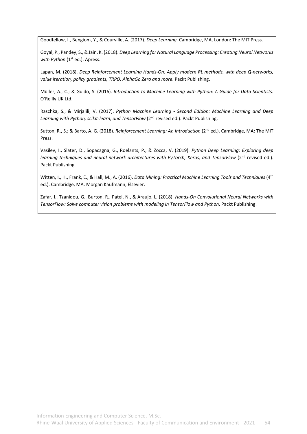Goodfellow, I., Bengiom, Y., & Courville, A. (2017). *Deep Learning.* Cambridge, MA, London: The MIT Press.

Goyal, P., Pandey, S., & Jain, K. (2018). *Deep Learning for Natural Language Processing: Creating Neural Networks with Python* (1<sup>st</sup> ed.). Apress.

Lapan, M. (2018). *Deep Reinforcement Learning Hands‐On: Apply modern RL methods, with deep Q‐networks, value iteration, policy gradients, TRPO, AlphaGo Zero and more*. Packt Publishing.

Müller, A., C.; & Guido, S. (2016). *Introduction to Machine Learning with Python: A Guide for Data Scientists.* O'Reilly UK Ltd.

Raschka, S., & Mirjalili, V. (2017). *Python Machine Learning ‐ Second Edition: Machine Learning and Deep Learning with Python, scikit‐learn, and TensorFlow* (2nd revised ed.). Packt Publishing.

Sutton, R., S.; & Barto, A. G. (2018). *Reinforcement Learning: An Introduction* (2nd ed.). Cambridge, MA: The MIT Press.

Vasilev, I., Slater, D., Sopacagna, G., Roelants, P., & Zocca, V. (2019). *Python Deep Learning: Exploring deep learning techniques and neural network architectures with PyTorch, Keras, and TensorFlow* (2nd revised ed.). Packt Publishing.

Witten, I., H., Frank, E., & Hall, M., A. (2016). *Data Mining: Practical Machine Learning Tools and Techniques* (4th ed.). Cambridge, MA: Morgan Kaufmann, Elsevier.

Zafar, I., Tzanidou, G., Burton, R., Patel, N., & Araujo, L. (2018). *Hands‐On Convolutional Neural Networks with TensorFlow: Solve computer vision problems with modeling in TensorFlow and Python*. Packt Publishing.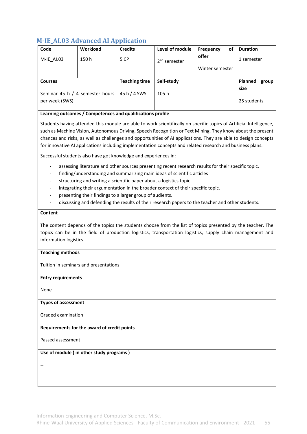# **M‐IE\_AI.03 Advanced AI Application**

| Code                                              | <b>Workload</b> | <b>Credits</b>       | Level of module          | οf<br>Frequency | <b>Duration</b>         |
|---------------------------------------------------|-----------------|----------------------|--------------------------|-----------------|-------------------------|
| M-IE AI.03                                        | 150 h           | 5 CP                 | 2 <sup>nd</sup> semester | offer           | 1 semester              |
|                                                   |                 |                      |                          | Winter semester |                         |
| <b>Courses</b>                                    |                 | <b>Teaching time</b> | Self-study               |                 | <b>Planned</b><br>group |
| Seminar 45 h / 4 semester hours<br>per week (SWS) |                 | 45 h / 4 SWS         | 105h                     |                 | size<br>25 students     |

# **Learning outcomes / Competences and qualifications profile**

Students having attended this module are able to work scientifically on specific topics of Artificial Intelligence, such as Machine Vision, Autonomous Driving, Speech Recognition or Text Mining. They know about the present chances and risks, as well as challenges and opportunities of AI applications. They are able to design concepts for innovative AI applications including implementation concepts and related research and business plans.

Successful students also have got knowledge and experiences in:

- ‐ assessing literature and other sources presenting recent research results for their specific topic.
- ‐ finding/understanding and summarizing main ideas of scientific articles
- ‐ structuring and writing a scientific paper about a logistics topic.
- integrating their argumentation in the broader context of their specific topic.
- presenting their findings to a larger group of audients.
- ‐ discussing and defending the results of their research papers to the teacher and other students.

## **Content**

The content depends of the topics the students choose from the list of topics presented by the teacher. The topics can be in the field of production logistics, transportation logistics, supply chain management and information logistics.

# **Teaching methods**

Tuition in seminars and presentations

#### **Entry requirements**

None

‐‐

# **Types of assessment**

Graded examination

# **Requirements for the award of credit points**

Passed assessment

### **Use of module ( in other study programs )**

Information Engineering and Computer Science, M.Sc. Rhine-Waal University of Applied Sciences - Faculty of Communication and Environment - 2021 55